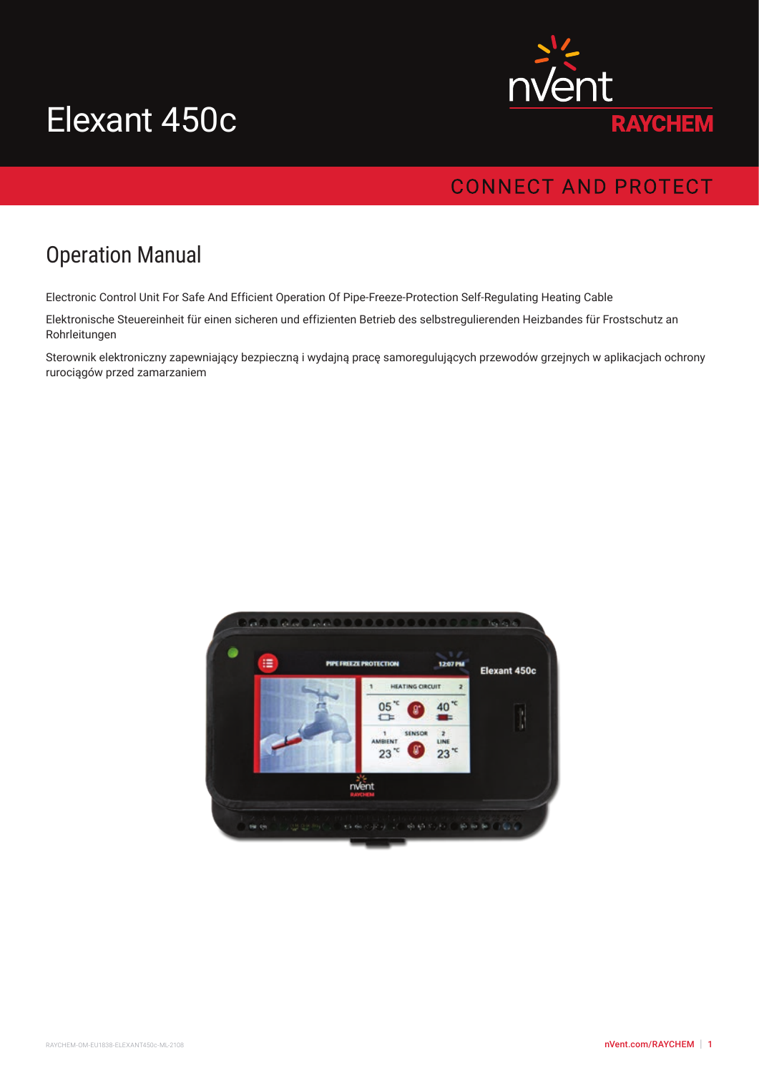# Elexant 450c



# **CONNECT AND PROTECT**

# Operation Manual

Electronic Control Unit For Safe And Efficient Operation Of Pipe-Freeze-Protection Self-Regulating Heating Cable

Elektronische Steuereinheit für einen sicheren und effizienten Betrieb des selbstregulierenden Heizbandes für Frostschutz an Rohrleitungen

Sterownik elektroniczny zapewniający bezpieczną i wydajną pracę samoregulujących przewodów grzejnych w aplikacjach ochrony rurociągów przed zamarzaniem

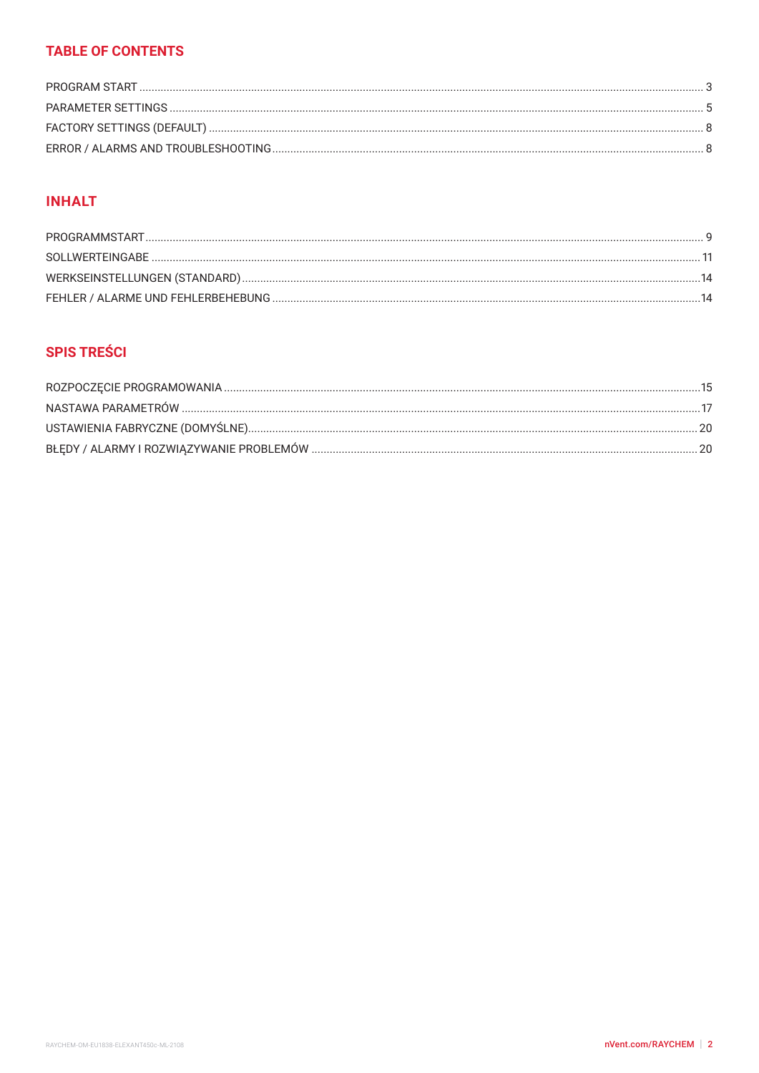# **TABLE OF CONTENTS**

# **INHALT**

# **SPIS TREŚCI**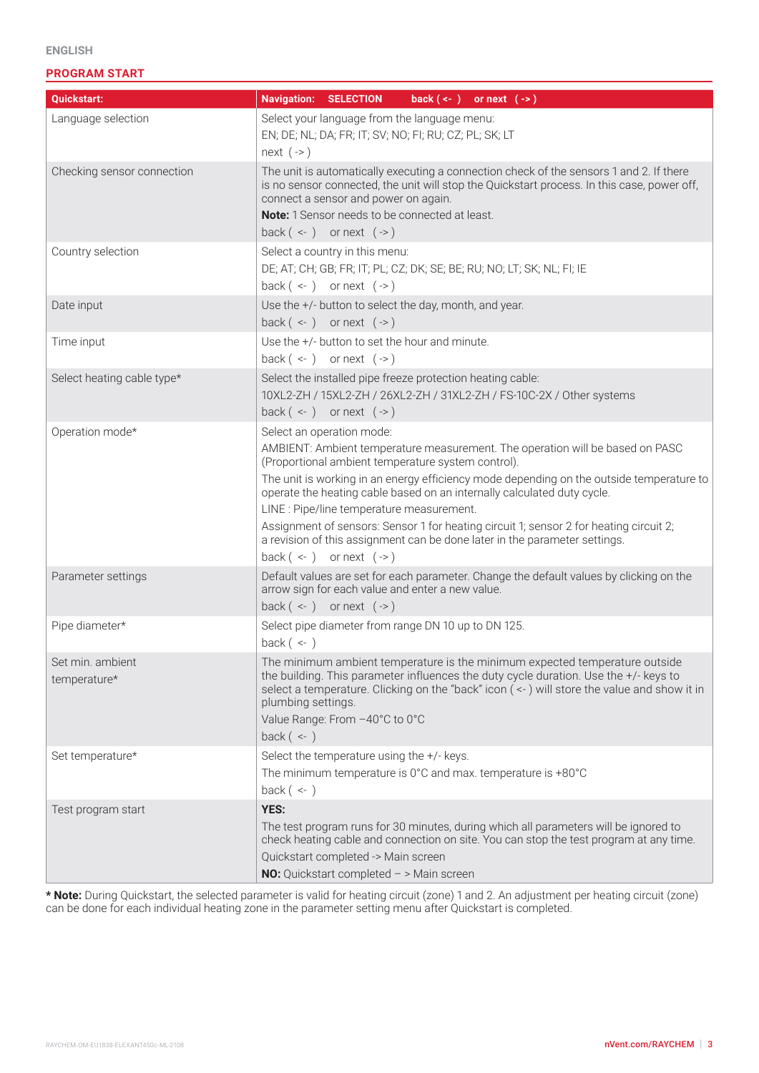<span id="page-2-0"></span>

|  | the contract of the contract of |
|--|---------------------------------|

#### **PROGRAM START**

| Quickstart:                      | <b>Navigation: SELECTION</b><br>back $(\leftarrow)$ or next $(\rightarrow)$                                                                                                                                                                                                                                                                                                                                                                                                                                                                                                              |
|----------------------------------|------------------------------------------------------------------------------------------------------------------------------------------------------------------------------------------------------------------------------------------------------------------------------------------------------------------------------------------------------------------------------------------------------------------------------------------------------------------------------------------------------------------------------------------------------------------------------------------|
| Language selection               | Select your language from the language menu:<br>EN; DE; NL; DA; FR; IT; SV; NO; FI; RU; CZ; PL; SK; LT<br>next $(-)$                                                                                                                                                                                                                                                                                                                                                                                                                                                                     |
| Checking sensor connection       | The unit is automatically executing a connection check of the sensors 1 and 2. If there<br>is no sensor connected, the unit will stop the Quickstart process. In this case, power off,<br>connect a sensor and power on again.<br>Note: 1 Sensor needs to be connected at least.                                                                                                                                                                                                                                                                                                         |
| Country selection                | back $(-)$ or next $(-)$<br>Select a country in this menu:<br>DE; AT; CH; GB; FR; IT; PL; CZ; DK; SE; BE; RU; NO; LT; SK; NL; FI; IE<br>back $(-)$ or next $(-)$                                                                                                                                                                                                                                                                                                                                                                                                                         |
| Date input                       | Use the +/- button to select the day, month, and year.<br>back $(-)$ or next $(-)$                                                                                                                                                                                                                                                                                                                                                                                                                                                                                                       |
| Time input                       | Use the +/- button to set the hour and minute.<br>back $(-)$ or next $(-)$                                                                                                                                                                                                                                                                                                                                                                                                                                                                                                               |
| Select heating cable type*       | Select the installed pipe freeze protection heating cable:<br>10XL2-ZH / 15XL2-ZH / 26XL2-ZH / 31XL2-ZH / FS-10C-2X / Other systems<br>back $(-)$ or next $(-)$                                                                                                                                                                                                                                                                                                                                                                                                                          |
| Operation mode*                  | Select an operation mode:<br>AMBIENT: Ambient temperature measurement. The operation will be based on PASC<br>(Proportional ambient temperature system control).<br>The unit is working in an energy efficiency mode depending on the outside temperature to<br>operate the heating cable based on an internally calculated duty cycle.<br>LINE : Pipe/line temperature measurement.<br>Assignment of sensors: Sensor 1 for heating circuit 1; sensor 2 for heating circuit 2;<br>a revision of this assignment can be done later in the parameter settings.<br>back $(-)$ or next $(-)$ |
| Parameter settings               | Default values are set for each parameter. Change the default values by clicking on the<br>arrow sign for each value and enter a new value.<br>back $(-)$ or next $(-)$                                                                                                                                                                                                                                                                                                                                                                                                                  |
| Pipe diameter*                   | Select pipe diameter from range DN 10 up to DN 125.<br>back $($ <- $)$                                                                                                                                                                                                                                                                                                                                                                                                                                                                                                                   |
| Set min. ambient<br>temperature* | The minimum ambient temperature is the minimum expected temperature outside<br>the building. This parameter influences the duty cycle duration. Use the +/- keys to<br>select a temperature. Clicking on the "back" icon ( <- ) will store the value and show it in<br>plumbing settings.<br>Value Range: From -40°C to 0°C                                                                                                                                                                                                                                                              |
| Set temperature*                 | back $($ <- $)$<br>Select the temperature using the +/- keys.<br>The minimum temperature is 0°C and max. temperature is +80°C<br>back $($ <- $)$                                                                                                                                                                                                                                                                                                                                                                                                                                         |
| Test program start               | <b>YES:</b><br>The test program runs for 30 minutes, during which all parameters will be ignored to<br>check heating cable and connection on site. You can stop the test program at any time.<br>Quickstart completed -> Main screen<br><b>NO:</b> Quickstart completed $-$ > Main screen                                                                                                                                                                                                                                                                                                |

**\* Note:** During Quickstart, the selected parameter is valid for heating circuit (zone) 1 and 2. An adjustment per heating circuit (zone) can be done for each individual heating zone in the parameter setting menu after Quickstart is completed.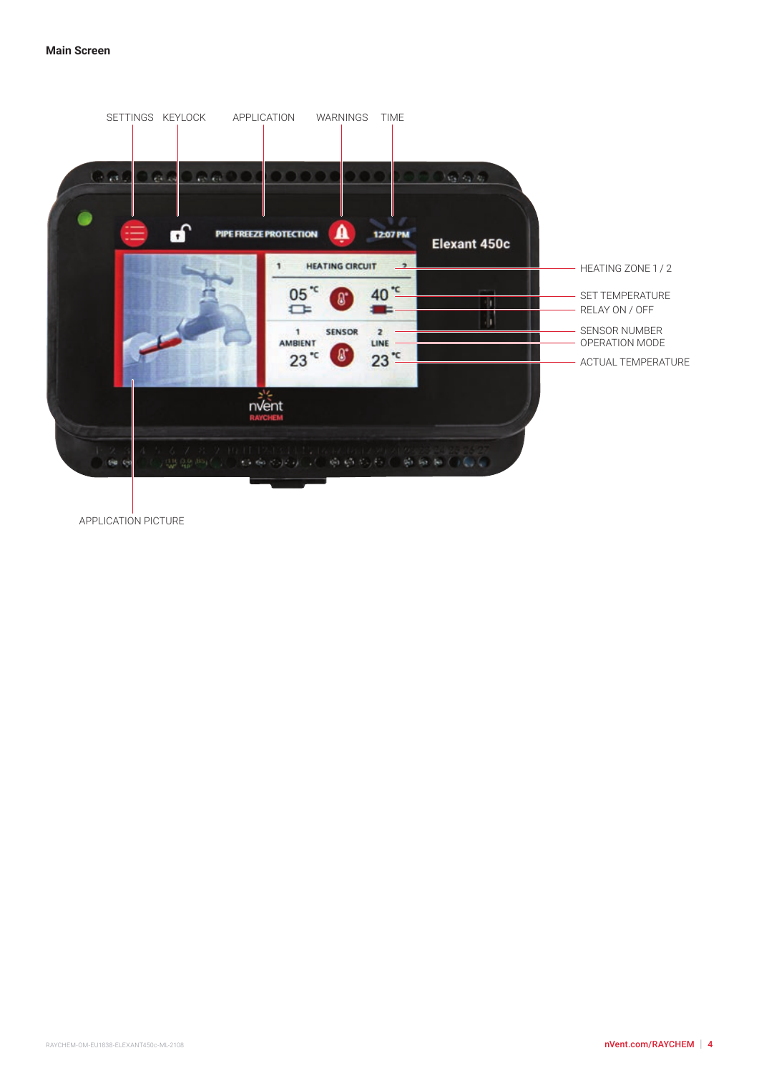

APPLICATION PICTURE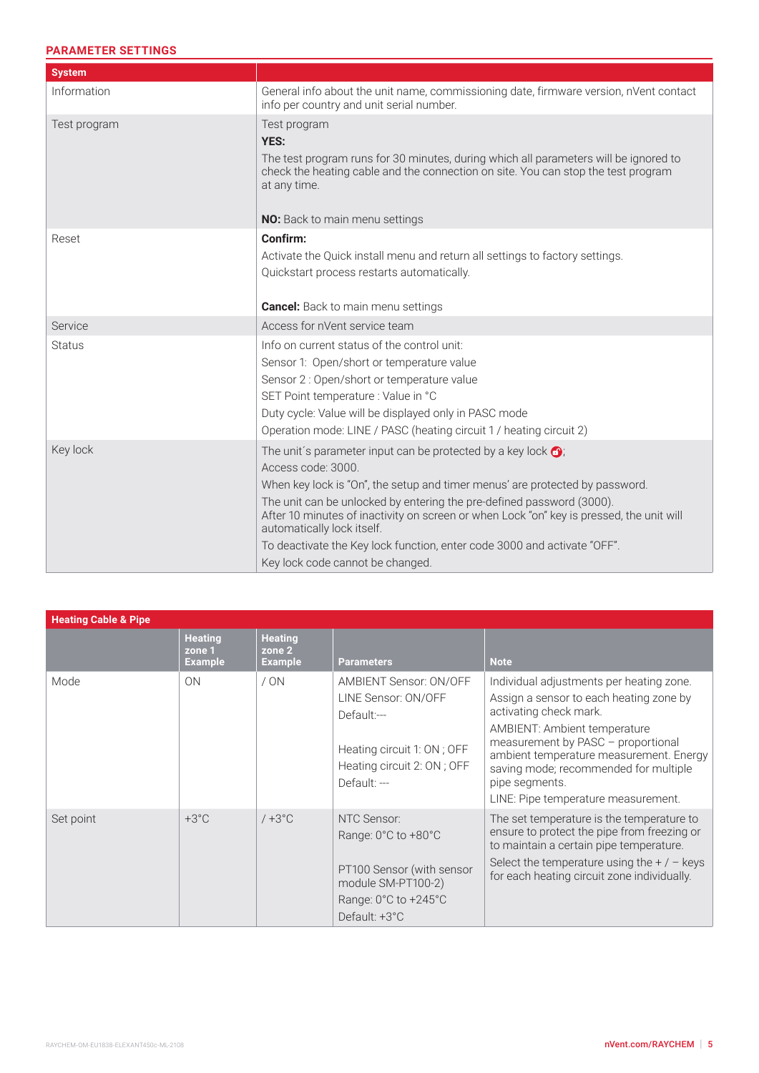#### <span id="page-4-0"></span>**PARAMETER SETTINGS**

| <b>System</b> |                                                                                                                                                                                                                                                                                                                                                                                                                                                                                                 |
|---------------|-------------------------------------------------------------------------------------------------------------------------------------------------------------------------------------------------------------------------------------------------------------------------------------------------------------------------------------------------------------------------------------------------------------------------------------------------------------------------------------------------|
| Information   | General info about the unit name, commissioning date, firmware version, nVent contact<br>info per country and unit serial number.                                                                                                                                                                                                                                                                                                                                                               |
| Test program  | Test program<br><b>YES:</b><br>The test program runs for 30 minutes, during which all parameters will be ignored to<br>check the heating cable and the connection on site. You can stop the test program<br>at any time.<br><b>NO:</b> Back to main menu settings                                                                                                                                                                                                                               |
| Reset         | Confirm:<br>Activate the Quick install menu and return all settings to factory settings.<br>Quickstart process restarts automatically.<br><b>Cancel:</b> Back to main menu settings                                                                                                                                                                                                                                                                                                             |
| Service       | Access for nVent service team                                                                                                                                                                                                                                                                                                                                                                                                                                                                   |
| <b>Status</b> | Info on current status of the control unit:<br>Sensor 1: Open/short or temperature value<br>Sensor 2 : Open/short or temperature value<br>SET Point temperature : Value in °C<br>Duty cycle: Value will be displayed only in PASC mode<br>Operation mode: LINE / PASC (heating circuit 1 / heating circuit 2)                                                                                                                                                                                   |
| Key lock      | The unit's parameter input can be protected by a key lock $\bigodot$ ;<br>Access code: 3000.<br>When key lock is "On", the setup and timer menus' are protected by password.<br>The unit can be unlocked by entering the pre-defined password (3000).<br>After 10 minutes of inactivity on screen or when Lock "on" key is pressed, the unit will<br>automatically lock itself.<br>To deactivate the Key lock function, enter code 3000 and activate "OFF".<br>Key lock code cannot be changed. |

| <b>Heating Cable &amp; Pipe</b> |                                            |                                            |                                                                                                                                                                         |                                                                                                                                                                                                                                                                                                                                  |
|---------------------------------|--------------------------------------------|--------------------------------------------|-------------------------------------------------------------------------------------------------------------------------------------------------------------------------|----------------------------------------------------------------------------------------------------------------------------------------------------------------------------------------------------------------------------------------------------------------------------------------------------------------------------------|
|                                 | <b>Heating</b><br>zone 1<br><b>Example</b> | <b>Heating</b><br>zone 2<br><b>Example</b> | <b>Parameters</b>                                                                                                                                                       | <b>Note</b>                                                                                                                                                                                                                                                                                                                      |
| Mode                            | <b>ON</b>                                  | / ON                                       | <b>AMBIENT Sensor: ON/OFF</b><br>LINE Sensor: ON/OFF<br>Default:---<br>Heating circuit 1: ON; OFF<br>Heating circuit 2: ON; OFF<br>Default: ---                         | Individual adjustments per heating zone.<br>Assign a sensor to each heating zone by<br>activating check mark.<br>AMBIENT: Ambient temperature<br>measurement by PASC - proportional<br>ambient temperature measurement. Energy<br>saving mode; recommended for multiple<br>pipe segments.<br>LINE: Pipe temperature measurement. |
| Set point                       | $+3^{\circ}$ C                             | $/ + 3^{\circ}C$                           | NTC Sensor:<br>Range: $0^{\circ}$ C to +80 $^{\circ}$ C<br>PT100 Sensor (with sensor<br>module SM-PT100-2)<br>Range: $0^{\circ}$ C to $+245^{\circ}$ C<br>Default: +3°C | The set temperature is the temperature to<br>ensure to protect the pipe from freezing or<br>to maintain a certain pipe temperature.<br>Select the temperature using the $+/-$ keys<br>for each heating circuit zone individually.                                                                                                |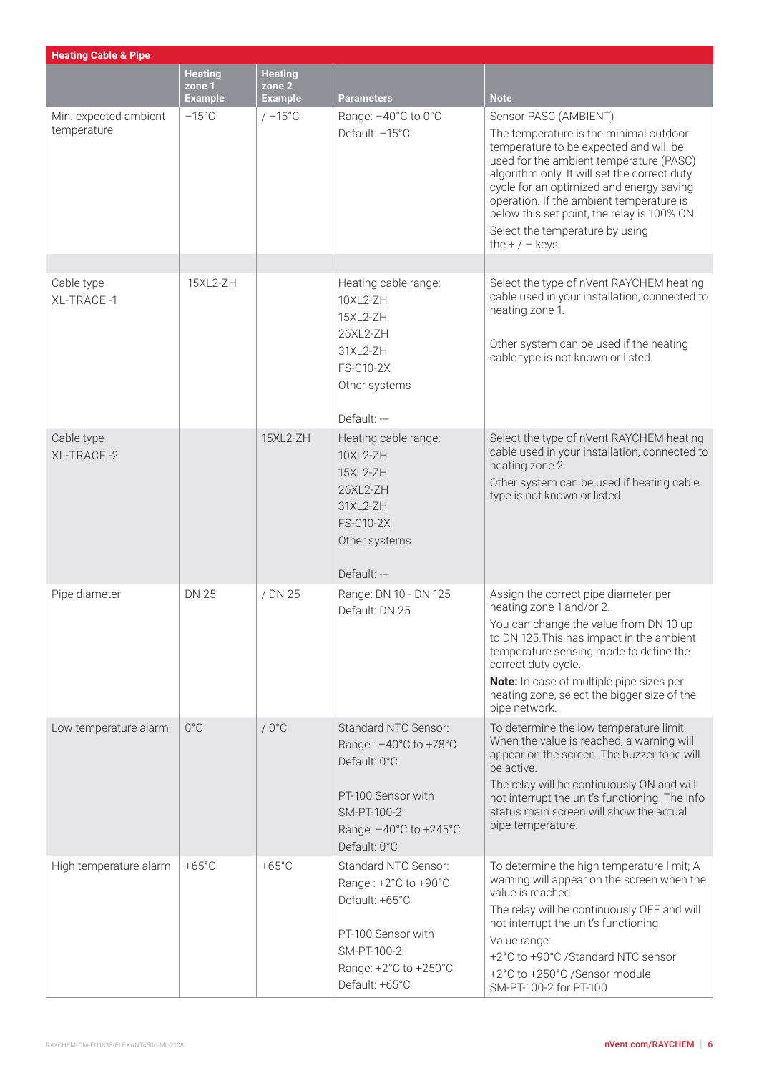| <b>Heating Cable &amp; Pipe</b>      |                                            |                                            |                                                                                                                                                 |                                                                                                                                                                                                                                                                                                                                                                                                   |
|--------------------------------------|--------------------------------------------|--------------------------------------------|-------------------------------------------------------------------------------------------------------------------------------------------------|---------------------------------------------------------------------------------------------------------------------------------------------------------------------------------------------------------------------------------------------------------------------------------------------------------------------------------------------------------------------------------------------------|
|                                      | <b>Heating</b><br>zone 1<br><b>Example</b> | <b>Heating</b><br>zone 2<br><b>Example</b> | <b>Parameters</b>                                                                                                                               | <b>Note</b>                                                                                                                                                                                                                                                                                                                                                                                       |
| Min. expected ambient<br>temperature | $-15^{\circ}$ C                            | $/ -15$ °C                                 | Range: -40°C to 0°C<br>Default: -15°C                                                                                                           | Sensor PASC (AMBIENT)<br>The temperature is the minimal outdoor<br>temperature to be expected and will be<br>used for the ambient temperature (PASC)<br>algorithm only. It will set the correct duty<br>cycle for an optimized and energy saving<br>operation. If the ambient temperature is<br>below this set point, the relay is 100% ON.<br>Select the temperature by using<br>the $+/-$ keys. |
| Cable type<br>XL-TRACE-1             | 15XL2-ZH                                   |                                            | Heating cable range:<br>10XL2-ZH<br>15XL2-ZH<br>26XL2-ZH<br>31XL2-ZH<br><b>FS-C10-2X</b><br>Other systems<br>Default: ---                       | Select the type of nVent RAYCHEM heating<br>cable used in your installation, connected to<br>heating zone 1.<br>Other system can be used if the heating<br>cable type is not known or listed.                                                                                                                                                                                                     |
| Cable type<br><b>XL-TRACE-2</b>      |                                            | 15XL2-ZH                                   | Heating cable range:<br>10XL2-ZH<br>15XL2-ZH<br>26XL2-ZH<br>31XL2-ZH<br><b>FS-C10-2X</b><br>Other systems<br>Default: ---                       | Select the type of nVent RAYCHEM heating<br>cable used in your installation, connected to<br>heating zone 2.<br>Other system can be used if heating cable<br>type is not known or listed.                                                                                                                                                                                                         |
| Pipe diameter                        | <b>DN 25</b>                               | / DN 25                                    | Range: DN 10 - DN 125<br>Default: DN 25                                                                                                         | Assign the correct pipe diameter per<br>heating zone 1 and/or 2.<br>You can change the value from DN 10 up<br>to DN 125. This has impact in the ambient<br>temperature sensing mode to define the<br>correct duty cycle.<br>Note: In case of multiple pipe sizes per<br>heating zone, select the bigger size of the<br>pipe network.                                                              |
| Low temperature alarm                | $0^{\circ}$ C                              | $/0^{\circ}$ C                             | Standard NTC Sensor:<br>Range: -40°C to +78°C<br>Default: 0°C<br>PT-100 Sensor with<br>SM-PT-100-2:<br>Range: -40°C to +245°C<br>Default: 0°C   | To determine the low temperature limit.<br>When the value is reached, a warning will<br>appear on the screen. The buzzer tone will<br>be active.<br>The relay will be continuously ON and will<br>not interrupt the unit's functioning. The info<br>status main screen will show the actual<br>pipe temperature.                                                                                  |
| High temperature alarm               | $+65^{\circ}$ C                            | $+65^{\circ}$ C                            | Standard NTC Sensor:<br>Range: +2°C to +90°C<br>Default: +65°C<br>PT-100 Sensor with<br>SM-PT-100-2:<br>Range: +2°C to +250°C<br>Default: +65°C | To determine the high temperature limit; A<br>warning will appear on the screen when the<br>value is reached.<br>The relay will be continuously OFF and will<br>not interrupt the unit's functioning.<br>Value range:<br>+2°C to +90°C /Standard NTC sensor<br>+2°C to +250°C /Sensor module<br>SM-PT-100-2 for PT-100                                                                            |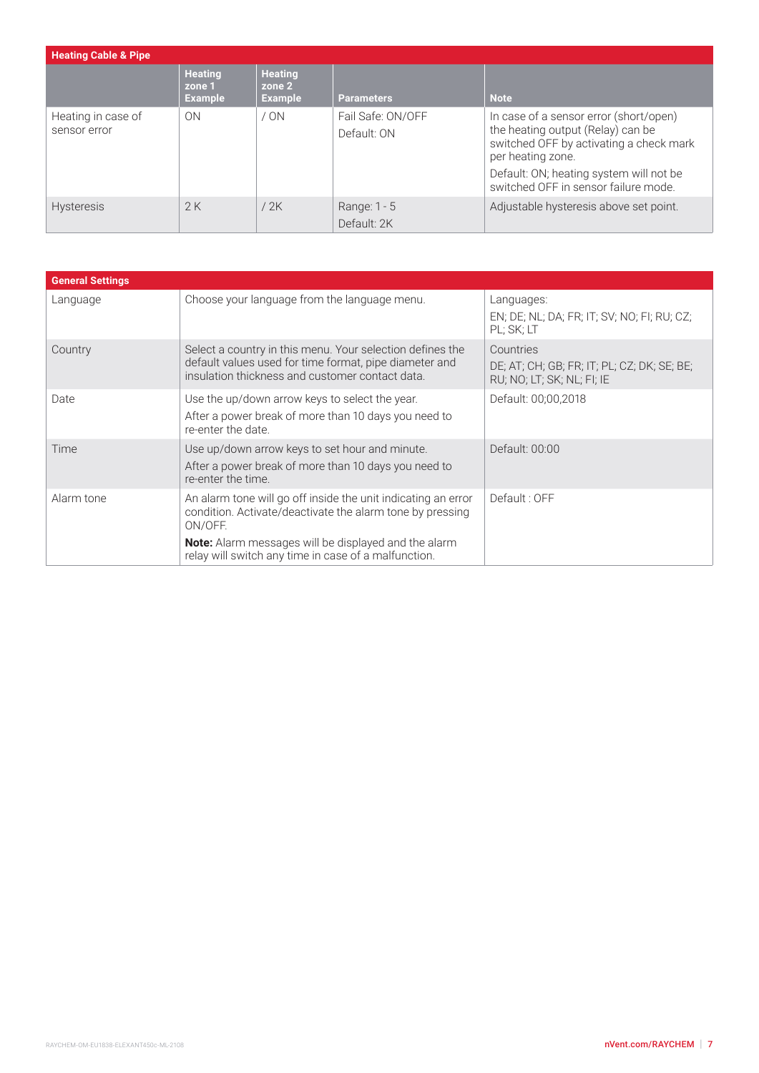| <b>Heating Cable &amp; Pipe</b>    |                                            |                                            |                                  |                                                                                                                                                                                                                                |
|------------------------------------|--------------------------------------------|--------------------------------------------|----------------------------------|--------------------------------------------------------------------------------------------------------------------------------------------------------------------------------------------------------------------------------|
|                                    | <b>Heating</b><br>zone 1<br><b>Example</b> | <b>Heating</b><br>zone 2<br><b>Example</b> | <b>Parameters</b>                | <b>Note</b>                                                                                                                                                                                                                    |
| Heating in case of<br>sensor error | ON                                         | / ON                                       | Fail Safe: ON/OFF<br>Default: ON | In case of a sensor error (short/open)<br>the heating output (Relay) can be<br>switched OFF by activating a check mark<br>per heating zone.<br>Default: ON; heating system will not be<br>switched OFF in sensor failure mode. |
| <b>Hysteresis</b>                  | 2K                                         | /2K                                        | Range: 1 - 5<br>Default: 2K      | Adjustable hysteresis above set point.                                                                                                                                                                                         |

| <b>General Settings</b> |                                                                                                                                                                        |                                                                                        |
|-------------------------|------------------------------------------------------------------------------------------------------------------------------------------------------------------------|----------------------------------------------------------------------------------------|
| Language                | Choose your language from the language menu.                                                                                                                           | Languages:<br>EN; DE; NL; DA; FR; IT; SV; NO; FI; RU; CZ;<br>PL; SK; LT                |
| Country                 | Select a country in this menu. Your selection defines the<br>default values used for time format, pipe diameter and<br>insulation thickness and customer contact data. | Countries<br>DE; AT; CH; GB; FR; IT; PL; CZ; DK; SE; BE;<br>RU; NO; LT; SK; NL; FI; IE |
| Date                    | Use the up/down arrow keys to select the year.<br>After a power break of more than 10 days you need to<br>re-enter the date.                                           | Default: 00:00,2018                                                                    |
| Time                    | Use up/down arrow keys to set hour and minute.<br>After a power break of more than 10 days you need to<br>re-enter the time.                                           | Default: 00:00                                                                         |
| Alarm tone              | An alarm tone will go off inside the unit indicating an error<br>condition. Activate/deactivate the alarm tone by pressing<br>ON/OFF.                                  | Default: OFF                                                                           |
|                         | <b>Note:</b> Alarm messages will be displayed and the alarm<br>relay will switch any time in case of a malfunction.                                                    |                                                                                        |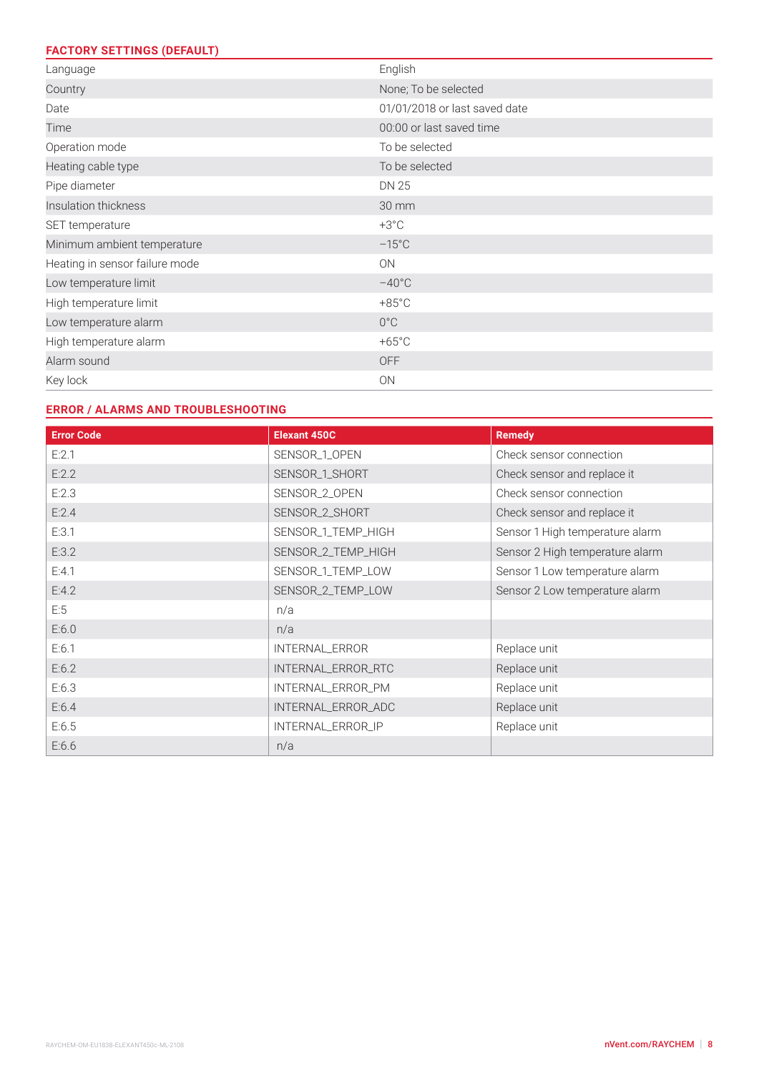# <span id="page-7-0"></span>**FACTORY SETTINGS (DEFAULT)**

| Language                       | English                       |
|--------------------------------|-------------------------------|
| Country                        | None; To be selected          |
| Date                           | 01/01/2018 or last saved date |
| Time                           | 00:00 or last saved time      |
| Operation mode                 | To be selected                |
| Heating cable type             | To be selected                |
| Pipe diameter                  | DN 25                         |
| Insulation thickness           | 30 mm                         |
| SET temperature                | $+3^{\circ}$ C                |
| Minimum ambient temperature    | $-15^{\circ}$ C               |
| Heating in sensor failure mode | <b>ON</b>                     |
| Low temperature limit          | $-40^{\circ}$ C               |
| High temperature limit         | $+85^{\circ}$ C               |
| Low temperature alarm          | $0^{\circ}$ C                 |
| High temperature alarm         | $+65^{\circ}$ C               |
| Alarm sound                    | <b>OFF</b>                    |
| Key lock                       | ON                            |

#### **ERROR / ALARMS AND TROUBLESHOOTING**

| <b>Error Code</b> | <b>Elexant 450C</b> | <b>Remedy</b>                   |
|-------------------|---------------------|---------------------------------|
| E:2.1             | SENSOR_1_OPEN       | Check sensor connection         |
| E:2.2             | SENSOR_1_SHORT      | Check sensor and replace it     |
| E:2.3             | SENSOR_2_OPEN       | Check sensor connection         |
| E:2.4             | SENSOR_2_SHORT      | Check sensor and replace it     |
| E:3.1             | SENSOR_1_TEMP_HIGH  | Sensor 1 High temperature alarm |
| E:3.2             | SENSOR_2_TEMP_HIGH  | Sensor 2 High temperature alarm |
| E:4.1             | SENSOR_1_TEMP_LOW   | Sensor 1 Low temperature alarm  |
| E:4.2             | SENSOR_2_TEMP_LOW   | Sensor 2 Low temperature alarm  |
| E:5               | n/a                 |                                 |
| E:6.0             | n/a                 |                                 |
| E:6.1             | INTERNAL_ERROR      | Replace unit                    |
| E:6.2             | INTERNAL_ERROR_RTC  | Replace unit                    |
| E:6.3             | INTERNAL_ERROR_PM   | Replace unit                    |
| E:6.4             | INTERNAL_ERROR_ADC  | Replace unit                    |
| E:6.5             | INTERNAL_ERROR_IP   | Replace unit                    |
| E:6.6             | n/a                 |                                 |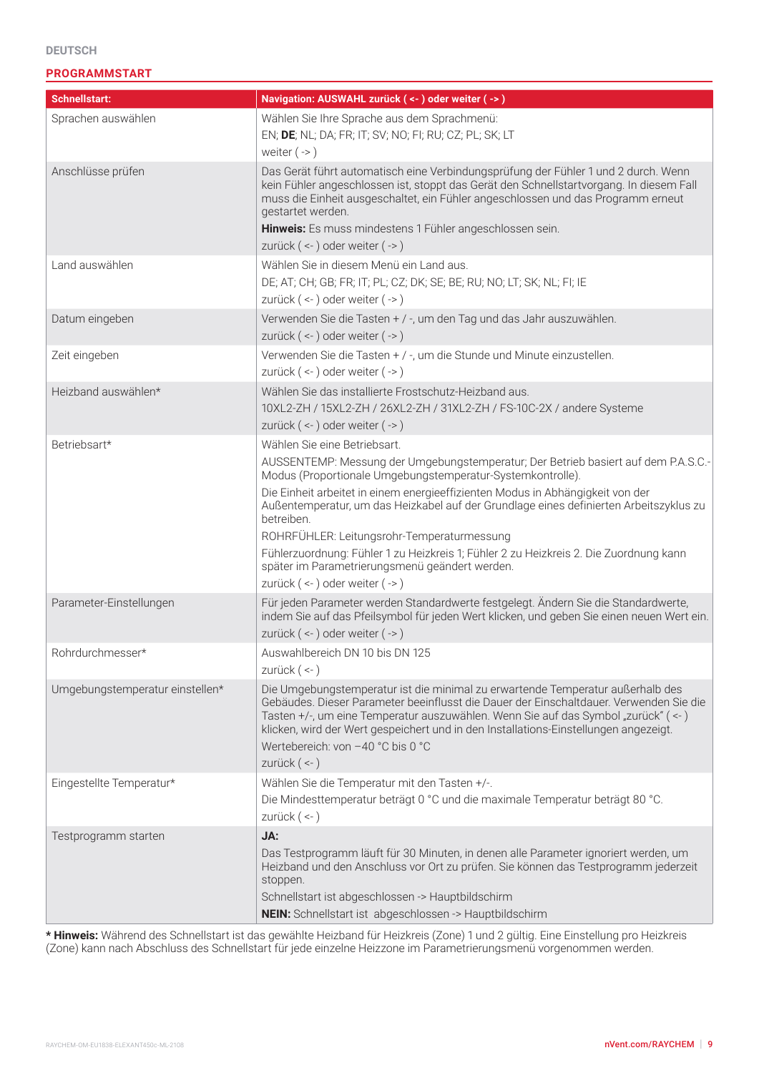| <b>Schnellstart:</b>            | Navigation: AUSWAHL zurück ( <- ) oder weiter ( -> )                                                                                                                                                                                                                                                                                                                                       |
|---------------------------------|--------------------------------------------------------------------------------------------------------------------------------------------------------------------------------------------------------------------------------------------------------------------------------------------------------------------------------------------------------------------------------------------|
| Sprachen auswählen              | Wählen Sie Ihre Sprache aus dem Sprachmenü:                                                                                                                                                                                                                                                                                                                                                |
|                                 | EN; DE; NL; DA; FR; IT; SV; NO; FI; RU; CZ; PL; SK; LT                                                                                                                                                                                                                                                                                                                                     |
|                                 | weiter $($ -> $)$                                                                                                                                                                                                                                                                                                                                                                          |
| Anschlüsse prüfen               | Das Gerät führt automatisch eine Verbindungsprüfung der Fühler 1 und 2 durch. Wenn<br>kein Fühler angeschlossen ist, stoppt das Gerät den Schnellstartvorgang. In diesem Fall<br>muss die Einheit ausgeschaltet, ein Fühler angeschlossen und das Programm erneut<br>gestartet werden.                                                                                                     |
|                                 | Hinweis: Es muss mindestens 1 Fühler angeschlossen sein.<br>zurück ( <- ) oder weiter ( -> )                                                                                                                                                                                                                                                                                               |
| Land auswählen                  | Wählen Sie in diesem Menü ein Land aus.<br>DE; AT; CH; GB; FR; IT; PL; CZ; DK; SE; BE; RU; NO; LT; SK; NL; FI; IE                                                                                                                                                                                                                                                                          |
|                                 | zurück (<-) oder weiter (->)                                                                                                                                                                                                                                                                                                                                                               |
| Datum eingeben                  | Verwenden Sie die Tasten + / -, um den Tag und das Jahr auszuwählen.                                                                                                                                                                                                                                                                                                                       |
|                                 | zurück ( <- ) oder weiter ( -> )                                                                                                                                                                                                                                                                                                                                                           |
| Zeit eingeben                   | Verwenden Sie die Tasten + / -, um die Stunde und Minute einzustellen.                                                                                                                                                                                                                                                                                                                     |
|                                 | zurück (<-) oder weiter (->)                                                                                                                                                                                                                                                                                                                                                               |
| Heizband auswählen*             | Wählen Sie das installierte Frostschutz-Heizband aus.                                                                                                                                                                                                                                                                                                                                      |
|                                 | 10XL2-ZH / 15XL2-ZH / 26XL2-ZH / 31XL2-ZH / FS-10C-2X / andere Systeme                                                                                                                                                                                                                                                                                                                     |
|                                 | zurück ( <- ) oder weiter ( -> )                                                                                                                                                                                                                                                                                                                                                           |
| Betriebsart*                    | Wählen Sie eine Betriebsart.                                                                                                                                                                                                                                                                                                                                                               |
|                                 | AUSSENTEMP: Messung der Umgebungstemperatur; Der Betrieb basiert auf dem P.A.S.C.-<br>Modus (Proportionale Umgebungstemperatur-Systemkontrolle).                                                                                                                                                                                                                                           |
|                                 | Die Einheit arbeitet in einem energieeffizienten Modus in Abhängigkeit von der<br>Außentemperatur, um das Heizkabel auf der Grundlage eines definierten Arbeitszyklus zu<br>betreiben.                                                                                                                                                                                                     |
|                                 | ROHRFÜHLER: Leitungsrohr-Temperaturmessung                                                                                                                                                                                                                                                                                                                                                 |
|                                 | Fühlerzuordnung: Fühler 1 zu Heizkreis 1; Fühler 2 zu Heizkreis 2. Die Zuordnung kann<br>später im Parametrierungsmenü geändert werden.                                                                                                                                                                                                                                                    |
|                                 | zurück (<-) oder weiter (->)                                                                                                                                                                                                                                                                                                                                                               |
| Parameter-Einstellungen         | Für jeden Parameter werden Standardwerte festgelegt. Ändern Sie die Standardwerte,<br>indem Sie auf das Pfeilsymbol für jeden Wert klicken, und geben Sie einen neuen Wert ein.<br>zurück ( <- ) oder weiter ( -> )                                                                                                                                                                        |
| Rohrdurchmesser*                | Auswahlbereich DN 10 bis DN 125                                                                                                                                                                                                                                                                                                                                                            |
|                                 | zurück (<-)                                                                                                                                                                                                                                                                                                                                                                                |
| Umgebungstemperatur einstellen* | Die Umgebungstemperatur ist die minimal zu erwartende Temperatur außerhalb des<br>Gebäudes. Dieser Parameter beeinflusst die Dauer der Einschaltdauer. Verwenden Sie die<br>Tasten +/-, um eine Temperatur auszuwählen. Wenn Sie auf das Symbol "zurück" (<-)<br>klicken, wird der Wert gespeichert und in den Installations-Einstellungen angezeigt.<br>Wertebereich: von -40 °C bis 0 °C |
|                                 | zurück $(-)$                                                                                                                                                                                                                                                                                                                                                                               |
| Eingestellte Temperatur*        | Wählen Sie die Temperatur mit den Tasten +/-.                                                                                                                                                                                                                                                                                                                                              |
|                                 | Die Mindesttemperatur beträgt 0 °C und die maximale Temperatur beträgt 80 °C.                                                                                                                                                                                                                                                                                                              |
|                                 | zurück (<-)                                                                                                                                                                                                                                                                                                                                                                                |
| Testprogramm starten            | JA:                                                                                                                                                                                                                                                                                                                                                                                        |
|                                 | Das Testprogramm läuft für 30 Minuten, in denen alle Parameter ignoriert werden, um<br>Heizband und den Anschluss vor Ort zu prüfen. Sie können das Testprogramm jederzeit<br>stoppen.                                                                                                                                                                                                     |
|                                 | Schnellstart ist abgeschlossen -> Hauptbildschirm                                                                                                                                                                                                                                                                                                                                          |
|                                 | NEIN: Schnellstart ist abgeschlossen -> Hauptbildschirm                                                                                                                                                                                                                                                                                                                                    |

**\* Hinweis:** Während des Schnellstart ist das gewählte Heizband für Heizkreis (Zone) 1 und 2 gültig. Eine Einstellung pro Heizkreis (Zone) kann nach Abschluss des Schnellstart für jede einzelne Heizzone im Parametrierungsmenü vorgenommen werden.

**PROGRAMMSTART**

**DEUTSCH**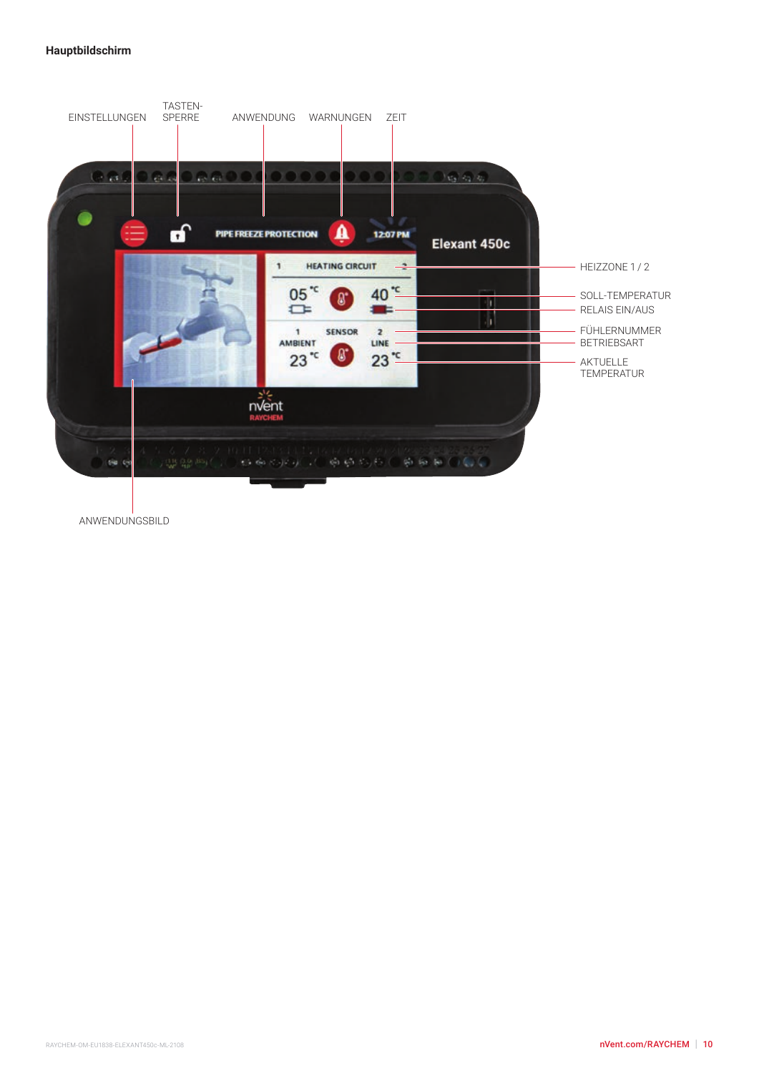#### **Hauptbildschirm**



ANWENDUNGSBILD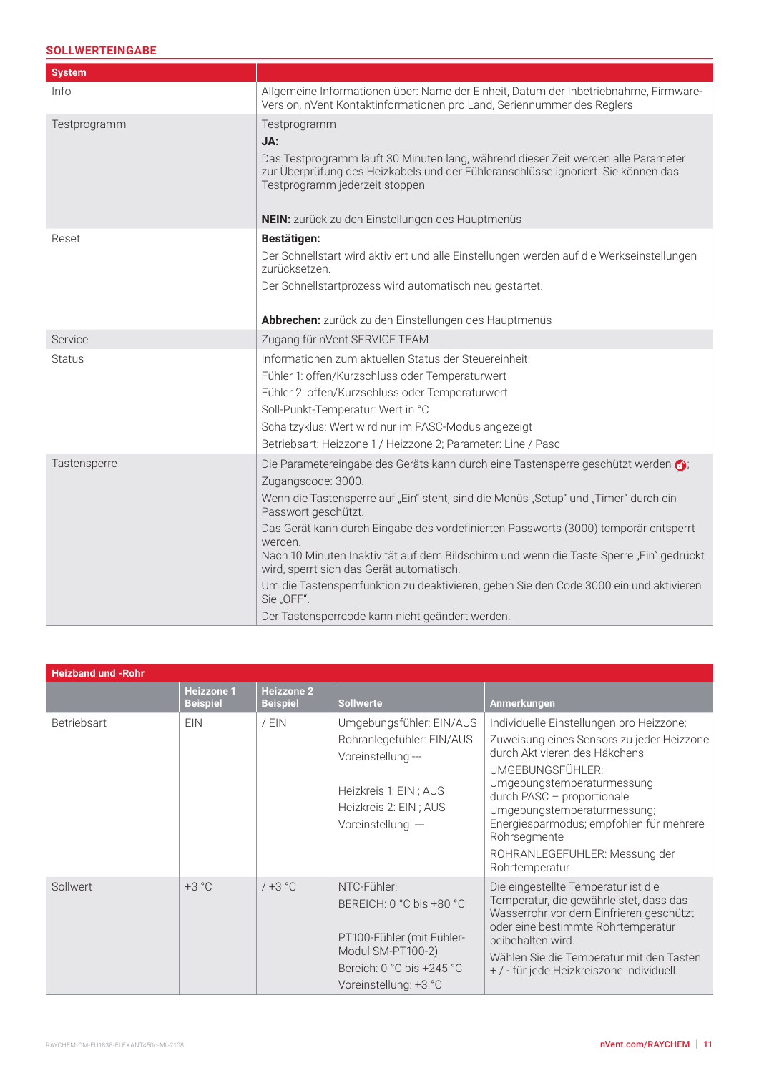#### **SOLLWERTEINGABE**

| <b>System</b> |                                                                                                                                                                                                                                                                                                                                                                                                                                                                                                                                                                                                                          |
|---------------|--------------------------------------------------------------------------------------------------------------------------------------------------------------------------------------------------------------------------------------------------------------------------------------------------------------------------------------------------------------------------------------------------------------------------------------------------------------------------------------------------------------------------------------------------------------------------------------------------------------------------|
| Info          | Allgemeine Informationen über: Name der Einheit, Datum der Inbetriebnahme, Firmware-<br>Version, nVent Kontaktinformationen pro Land, Seriennummer des Reglers                                                                                                                                                                                                                                                                                                                                                                                                                                                           |
| Testprogramm  | Testprogramm<br>JA:<br>Das Testprogramm läuft 30 Minuten lang, während dieser Zeit werden alle Parameter<br>zur Überprüfung des Heizkabels und der Fühleranschlüsse ignoriert. Sie können das<br>Testprogramm jederzeit stoppen<br>NEIN: zurück zu den Einstellungen des Hauptmenüs                                                                                                                                                                                                                                                                                                                                      |
| Reset         | <b>Bestätigen:</b><br>Der Schnellstart wird aktiviert und alle Einstellungen werden auf die Werkseinstellungen<br>zurücksetzen.<br>Der Schnellstartprozess wird automatisch neu gestartet.<br>Abbrechen: zurück zu den Einstellungen des Hauptmenüs                                                                                                                                                                                                                                                                                                                                                                      |
| Service       | Zugang für nVent SERVICE TEAM                                                                                                                                                                                                                                                                                                                                                                                                                                                                                                                                                                                            |
| <b>Status</b> | Informationen zum aktuellen Status der Steuereinheit:<br>Fühler 1: offen/Kurzschluss oder Temperaturwert<br>Fühler 2: offen/Kurzschluss oder Temperaturwert<br>Soll-Punkt-Temperatur: Wert in °C<br>Schaltzyklus: Wert wird nur im PASC-Modus angezeigt<br>Betriebsart: Heizzone 1 / Heizzone 2; Parameter: Line / Pasc                                                                                                                                                                                                                                                                                                  |
| Tastensperre  | Die Parametereingabe des Geräts kann durch eine Tastensperre geschützt werden o;<br>Zugangscode: 3000.<br>Wenn die Tastensperre auf "Ein" steht, sind die Menüs "Setup" und "Timer" durch ein<br>Passwort geschützt.<br>Das Gerät kann durch Eingabe des vordefinierten Passworts (3000) temporär entsperrt<br>werden.<br>Nach 10 Minuten Inaktivität auf dem Bildschirm und wenn die Taste Sperre "Ein" gedrückt<br>wird, sperrt sich das Gerät automatisch.<br>Um die Tastensperrfunktion zu deaktivieren, geben Sie den Code 3000 ein und aktivieren<br>Sie "OFF".<br>Der Tastensperrcode kann nicht geändert werden. |

| <b>Heizband und -Rohr</b> |                                      |                                      |                                                                                                                                                       |                                                                                                                                                                                                                                                                                                                                                     |
|---------------------------|--------------------------------------|--------------------------------------|-------------------------------------------------------------------------------------------------------------------------------------------------------|-----------------------------------------------------------------------------------------------------------------------------------------------------------------------------------------------------------------------------------------------------------------------------------------------------------------------------------------------------|
|                           | <b>Heizzone 1</b><br><b>Beispiel</b> | <b>Heizzone 2</b><br><b>Beispiel</b> | <b>Sollwerte</b>                                                                                                                                      | Anmerkungen                                                                                                                                                                                                                                                                                                                                         |
| Betriebsart               | <b>EIN</b>                           | $/$ EIN                              | Umgebungsfühler: EIN/AUS<br>Rohranlegefühler: EIN/AUS<br>Voreinstellung:---<br>Heizkreis 1: EIN ; AUS<br>Heizkreis 2: EIN; AUS<br>Voreinstellung: --- | Individuelle Einstellungen pro Heizzone;<br>Zuweisung eines Sensors zu jeder Heizzone<br>durch Aktivieren des Häkchens<br>UMGEBUNGSFÜHLER:<br>Umgebungstemperaturmessung<br>durch PASC - proportionale<br>Umgebungstemperaturmessung;<br>Energiesparmodus; empfohlen für mehrere<br>Rohrsegmente<br>ROHRANLEGEFÜHLER: Messung der<br>Rohrtemperatur |
| Sollwert                  | $+3 °C$                              | $/ + 3$ °C                           | NTC-Fühler:<br>BEREICH: 0 °C bis +80 °C<br>PT100-Fühler (mit Fühler-<br>Modul SM-PT100-2)<br>Bereich: 0 °C bis +245 °C<br>Voreinstellung: +3 °C       | Die eingestellte Temperatur ist die<br>Temperatur, die gewährleistet, dass das<br>Wasserrohr vor dem Einfrieren geschützt<br>oder eine bestimmte Rohrtemperatur<br>beibehalten wird.<br>Wählen Sie die Temperatur mit den Tasten<br>+/-für jede Heizkreiszone individuell.                                                                          |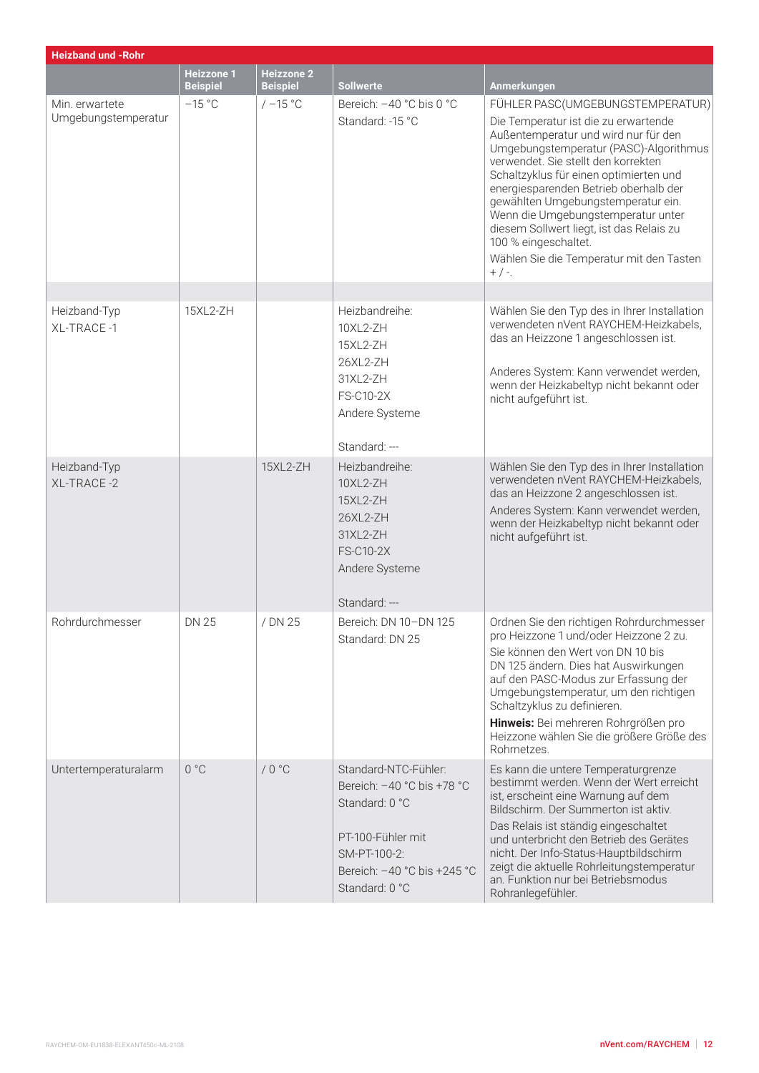| <b>Heizband und -Rohr</b>             |                                      |                                      |                                                                                                                                                            |                                                                                                                                                                                                                                                                                                                                                                                                                                                                                              |  |
|---------------------------------------|--------------------------------------|--------------------------------------|------------------------------------------------------------------------------------------------------------------------------------------------------------|----------------------------------------------------------------------------------------------------------------------------------------------------------------------------------------------------------------------------------------------------------------------------------------------------------------------------------------------------------------------------------------------------------------------------------------------------------------------------------------------|--|
|                                       | <b>Heizzone 1</b><br><b>Beispiel</b> | <b>Heizzone 2</b><br><b>Beispiel</b> | <b>Sollwerte</b>                                                                                                                                           | Anmerkungen                                                                                                                                                                                                                                                                                                                                                                                                                                                                                  |  |
| Min. erwartete<br>Umgebungstemperatur | $-15 °C$                             | $/ -15$ °C                           | Bereich: -40 °C bis 0 °C<br>Standard: -15 °C                                                                                                               | FÜHLER PASC(UMGEBUNGSTEMPERATUR)<br>Die Temperatur ist die zu erwartende<br>Außentemperatur und wird nur für den<br>Umgebungstemperatur (PASC)-Algorithmus<br>verwendet. Sie stellt den korrekten<br>Schaltzyklus für einen optimierten und<br>energiesparenden Betrieb oberhalb der<br>gewählten Umgebungstemperatur ein.<br>Wenn die Umgebungstemperatur unter<br>diesem Sollwert liegt, ist das Relais zu<br>100 % eingeschaltet.<br>Wählen Sie die Temperatur mit den Tasten<br>$+$ / -. |  |
|                                       |                                      |                                      |                                                                                                                                                            |                                                                                                                                                                                                                                                                                                                                                                                                                                                                                              |  |
| Heizband-Typ<br><b>XL-TRACE-1</b>     | 15XL2-ZH                             |                                      | Heizbandreihe:<br>10XL2-ZH<br>15XL2-ZH<br>26XL2-ZH<br>31XL2-ZH<br><b>FS-C10-2X</b><br>Andere Systeme<br>Standard: ---                                      | Wählen Sie den Typ des in Ihrer Installation<br>verwendeten nVent RAYCHEM-Heizkabels,<br>das an Heizzone 1 angeschlossen ist.<br>Anderes System: Kann verwendet werden,<br>wenn der Heizkabeltyp nicht bekannt oder<br>nicht aufgeführt ist.                                                                                                                                                                                                                                                 |  |
| Heizband-Typ<br>XL-TRACE-2            |                                      | 15XL2-ZH                             | Heizbandreihe:<br>10XL2-ZH<br>15XL2-ZH<br>26XL2-ZH<br>31XL2-ZH<br><b>FS-C10-2X</b><br>Andere Systeme<br>Standard: ---                                      | Wählen Sie den Typ des in Ihrer Installation<br>verwendeten nVent RAYCHEM-Heizkabels,<br>das an Heizzone 2 angeschlossen ist.<br>Anderes System: Kann verwendet werden,<br>wenn der Heizkabeltyp nicht bekannt oder<br>nicht aufgeführt ist.                                                                                                                                                                                                                                                 |  |
| Rohrdurchmesser                       | DN 25                                | / DN 25                              | Bereich: DN 10-DN 125<br>Standard: DN 25                                                                                                                   | Ordnen Sie den richtigen Rohrdurchmesser<br>pro Heizzone 1 und/oder Heizzone 2 zu.<br>Sie können den Wert von DN 10 bis<br>DN 125 ändern. Dies hat Auswirkungen<br>auf den PASC-Modus zur Erfassung der<br>Umgebungstemperatur, um den richtigen<br>Schaltzyklus zu definieren.<br>Hinweis: Bei mehreren Rohrgrößen pro<br>Heizzone wählen Sie die größere Größe des<br>Rohrnetzes.                                                                                                          |  |
| Untertemperaturalarm                  | 0 °C                                 | $/0$ °C                              | Standard-NTC-Fühler:<br>Bereich: -40 °C bis +78 °C<br>Standard: 0 °C<br>PT-100-Fühler mit<br>SM-PT-100-2:<br>Bereich: -40 °C bis +245 °C<br>Standard: 0 °C | Es kann die untere Temperaturgrenze<br>bestimmt werden. Wenn der Wert erreicht<br>ist, erscheint eine Warnung auf dem<br>Bildschirm. Der Summerton ist aktiv.<br>Das Relais ist ständig eingeschaltet<br>und unterbricht den Betrieb des Gerätes<br>nicht. Der Info-Status-Hauptbildschirm<br>zeigt die aktuelle Rohrleitungstemperatur<br>an. Funktion nur bei Betriebsmodus<br>Rohranlegefühler.                                                                                           |  |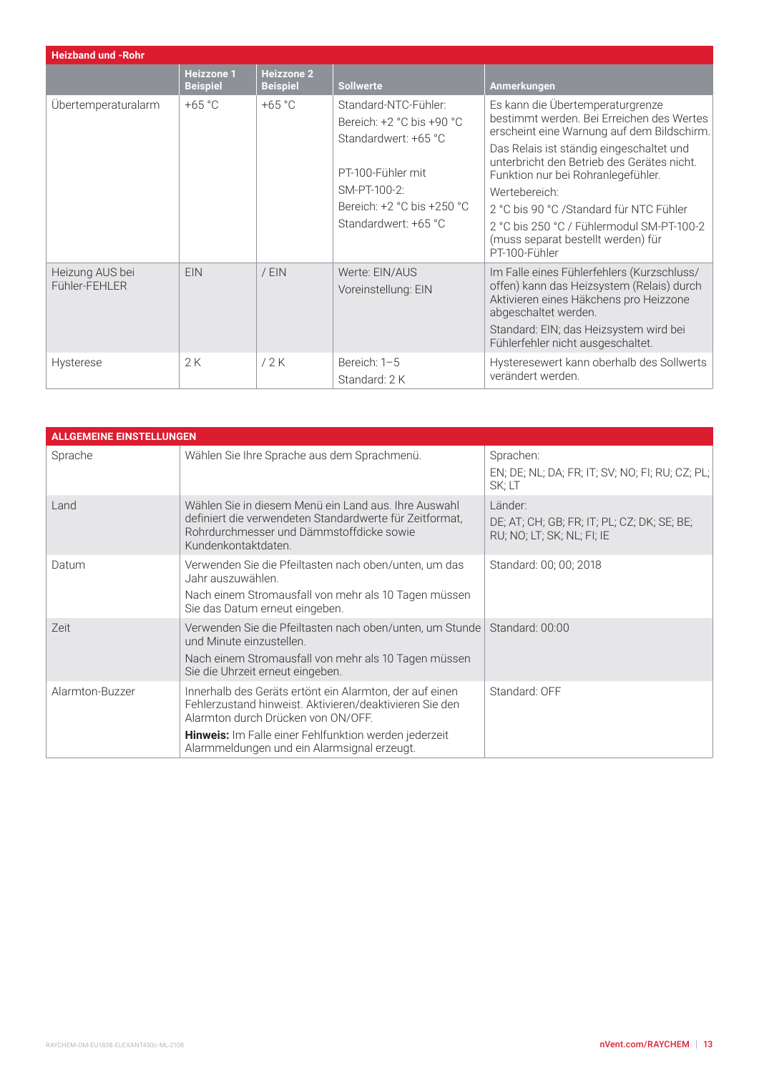| <b>Heizband und -Rohr</b>        |                               |                                      |                                                                                                                                                                          |                                                                                                                                                                                                                                                                                                                                                                                                                             |  |
|----------------------------------|-------------------------------|--------------------------------------|--------------------------------------------------------------------------------------------------------------------------------------------------------------------------|-----------------------------------------------------------------------------------------------------------------------------------------------------------------------------------------------------------------------------------------------------------------------------------------------------------------------------------------------------------------------------------------------------------------------------|--|
|                                  | Heizzone 1<br><b>Beispiel</b> | <b>Heizzone 2</b><br><b>Beispiel</b> | <b>Sollwerte</b>                                                                                                                                                         | Anmerkungen                                                                                                                                                                                                                                                                                                                                                                                                                 |  |
| Ubertemperaturalarm              | $+65 °C$                      | $+65 °C$                             | Standard-NTC-Fühler:<br>Bereich: +2 °C bis +90 °C<br>Standardwert: +65 °C<br>PT-100-Fühler mit<br>SM-PT-100-2:<br>Bereich: $+2 °C$ bis $+250 °C$<br>Standardwert: +65 °C | Es kann die Übertemperaturgrenze<br>bestimmt werden. Bei Erreichen des Wertes<br>erscheint eine Warnung auf dem Bildschirm.<br>Das Relais ist ständig eingeschaltet und<br>unterbricht den Betrieb des Gerätes nicht.<br>Funktion nur bei Rohranlegefühler.<br>Wertebereich:<br>2 °C bis 90 °C /Standard für NTC Fühler<br>2 °C bis 250 °C / Fühlermodul SM-PT-100-2<br>(muss separat bestellt werden) für<br>PT-100-Fühler |  |
| Heizung AUS bei<br>Fühler-FEHLER | <b>EIN</b>                    | $/$ EIN                              | Werte: EIN/AUS<br>Voreinstellung: EIN                                                                                                                                    | Im Falle eines Fühlerfehlers (Kurzschluss/<br>offen) kann das Heizsystem (Relais) durch<br>Aktivieren eines Häkchens pro Heizzone<br>abgeschaltet werden.<br>Standard: EIN; das Heizsystem wird bei<br>Fühlerfehler nicht ausgeschaltet.                                                                                                                                                                                    |  |
| Hysterese                        | 2K                            | 12K                                  | Bereich: 1-5<br>Standard: 2 K                                                                                                                                            | Hysteresewert kann oberhalb des Sollwerts<br>verändert werden.                                                                                                                                                                                                                                                                                                                                                              |  |

| <b>ALLGEMEINE EINSTELLUNGEN</b> |                                                                                                                                                                                                                                                                         |                                                                                      |  |  |  |
|---------------------------------|-------------------------------------------------------------------------------------------------------------------------------------------------------------------------------------------------------------------------------------------------------------------------|--------------------------------------------------------------------------------------|--|--|--|
| Sprache                         | Wählen Sie Ihre Sprache aus dem Sprachmenü.                                                                                                                                                                                                                             | Sprachen:<br>EN; DE; NL; DA; FR; IT; SV; NO; FI; RU; CZ; PL;<br>SK; LT               |  |  |  |
| Land                            | Wählen Sie in diesem Menü ein Land aus. Ihre Auswahl<br>definiert die verwendeten Standardwerte für Zeitformat,<br>Rohrdurchmesser und Dämmstoffdicke sowie<br>Kundenkontaktdaten.                                                                                      | Länder:<br>DE; AT; CH; GB; FR; IT; PL; CZ; DK; SE; BE;<br>RU; NO; LT; SK; NL; FI; IE |  |  |  |
| Datum                           | Verwenden Sie die Pfeiltasten nach oben/unten, um das<br>Jahr auszuwählen.<br>Nach einem Stromausfall von mehr als 10 Tagen müssen<br>Sie das Datum erneut eingeben.                                                                                                    | Standard: 00; 00; 2018                                                               |  |  |  |
| Zeit                            | Verwenden Sie die Pfeiltasten nach oben/unten, um Stunde<br>und Minute einzustellen.<br>Nach einem Stromausfall von mehr als 10 Tagen müssen<br>Sie die Uhrzeit erneut eingeben.                                                                                        | Standard: 00:00                                                                      |  |  |  |
| Alarmton-Buzzer                 | Innerhalb des Geräts ertönt ein Alarmton, der auf einen<br>Fehlerzustand hinweist. Aktivieren/deaktivieren Sie den<br>Alarmton durch Drücken von ON/OFF.<br><b>Hinweis:</b> Im Falle einer Fehlfunktion werden jederzeit<br>Alarmmeldungen und ein Alarmsignal erzeugt. | Standard: OFF                                                                        |  |  |  |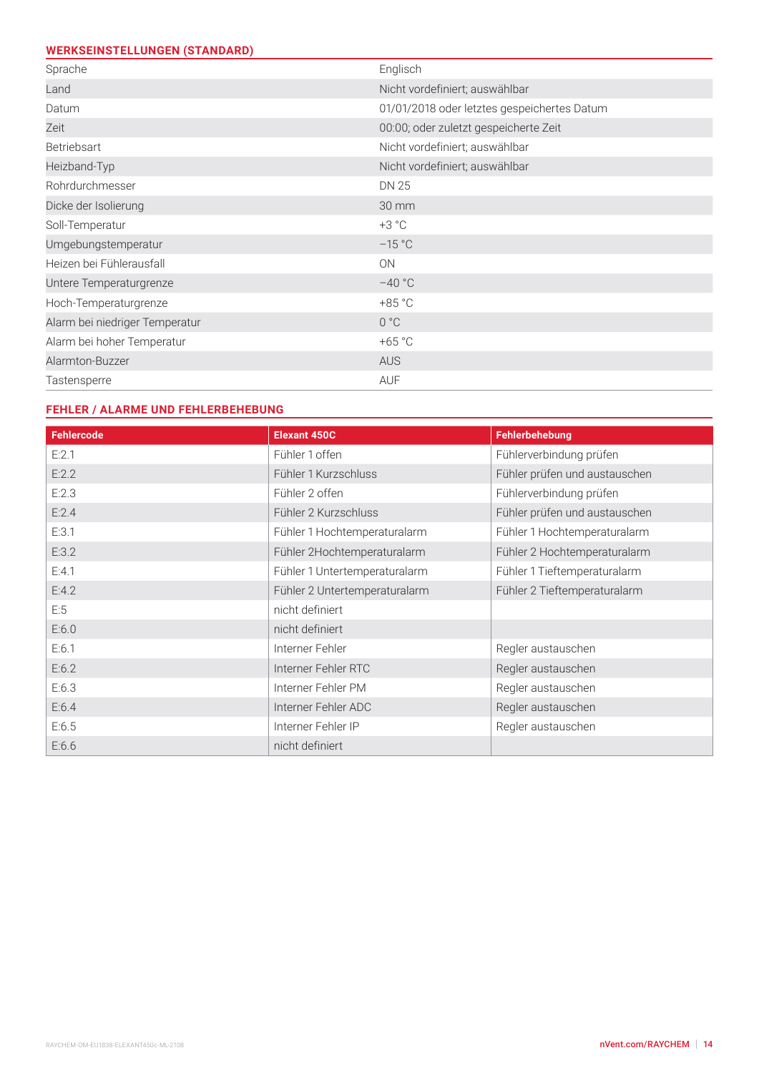# **WERKSEINSTELLUNGEN (STANDARD)**

| Sprache                        | Englisch                                    |
|--------------------------------|---------------------------------------------|
| Land                           | Nicht vordefiniert; auswählbar              |
| Datum                          | 01/01/2018 oder letztes gespeichertes Datum |
| Zeit                           | 00:00; oder zuletzt gespeicherte Zeit       |
| <b>Betriebsart</b>             | Nicht vordefiniert; auswählbar              |
| Heizband-Typ                   | Nicht vordefiniert; auswählbar              |
| Rohrdurchmesser                | <b>DN 25</b>                                |
| Dicke der Isolierung           | $30$ mm                                     |
| Soll-Temperatur                | $+3 °C$                                     |
| Umgebungstemperatur            | $-15 °C$                                    |
| Heizen bei Fühlerausfall       | <b>ON</b>                                   |
| Untere Temperaturgrenze        | $-40 °C$                                    |
| Hoch-Temperaturgrenze          | +85 °C                                      |
| Alarm bei niedriger Temperatur | 0 °C                                        |
| Alarm bei hoher Temperatur     | $+65 °C$                                    |
| Alarmton-Buzzer                | <b>AUS</b>                                  |
| Tastensperre                   | <b>AUF</b>                                  |

#### **FEHLER / ALARME UND FEHLERBEHEBUNG**

| <b>Fehlercode</b> | <b>Elexant 450C</b>           | Fehlerbehebung                |
|-------------------|-------------------------------|-------------------------------|
| E:2.1             | Fühler 1 offen                | Fühlerverbindung prüfen       |
| E:2.2             | Fühler 1 Kurzschluss          | Fühler prüfen und austauschen |
| E:2.3             | Fühler 2 offen                | Fühlerverbindung prüfen       |
| E:2.4             | Fühler 2 Kurzschluss          | Fühler prüfen und austauschen |
| E:3.1             | Fühler 1 Hochtemperaturalarm  | Fühler 1 Hochtemperaturalarm  |
| E:3.2             | Fühler 2Hochtemperaturalarm   | Fühler 2 Hochtemperaturalarm  |
| E:4.1             | Fühler 1 Untertemperaturalarm | Fühler 1 Tieftemperaturalarm  |
| E:4.2             | Fühler 2 Untertemperaturalarm | Fühler 2 Tieftemperaturalarm  |
| E:5               | nicht definiert               |                               |
| E:6.0             | nicht definiert               |                               |
| E:6.1             | Interner Fehler               | Regler austauschen            |
| E:6.2             | Interner Fehler RTC           | Regler austauschen            |
| E:6.3             | Interner Fehler PM            | Regler austauschen            |
| E:6.4             | Interner Fehler ADC           | Regler austauschen            |
| E:6.5             | Interner Fehler IP            | Regler austauschen            |
| E:6.6             | nicht definiert               |                               |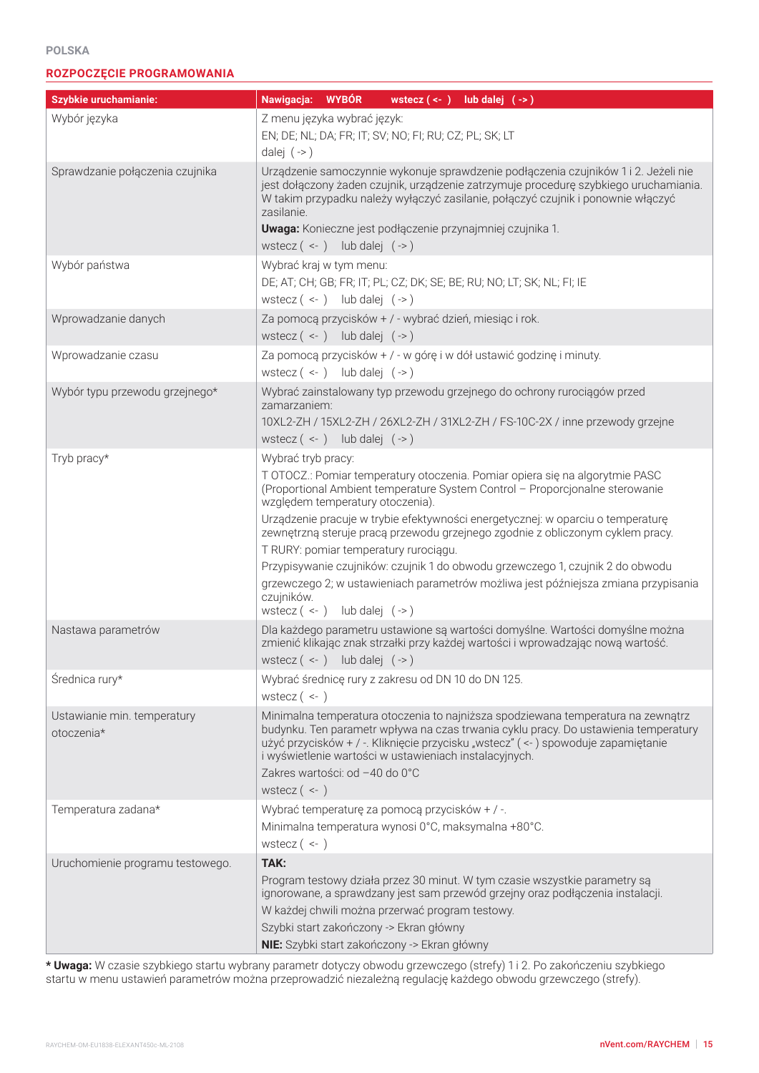#### **ROZPOCZĘCIE PROGRAMOWANIA**

| Szybkie uruchamianie:                     | Nawigacja: WYBÓR                 |                                                                  |                                                                                                                                            | wstecz $(-)$ lub dalej $(-)$                                                                                                                                                                                                                                                                                                                                                                                                                                                                              |
|-------------------------------------------|----------------------------------|------------------------------------------------------------------|--------------------------------------------------------------------------------------------------------------------------------------------|-----------------------------------------------------------------------------------------------------------------------------------------------------------------------------------------------------------------------------------------------------------------------------------------------------------------------------------------------------------------------------------------------------------------------------------------------------------------------------------------------------------|
| Wybór języka                              | dalej $(-)$                      | Z menu języka wybrać język:                                      | EN; DE; NL; DA; FR; IT; SV; NO; FI; RU; CZ; PL; SK; LT                                                                                     |                                                                                                                                                                                                                                                                                                                                                                                                                                                                                                           |
| Sprawdzanie połączenia czujnika           | zasilanie.                       | wstecz $(-)$ lub dalej $(-)$                                     |                                                                                                                                            | Urządzenie samoczynnie wykonuje sprawdzenie podłączenia czujników 1 i 2. Jeżeli nie<br>jest dołączony żaden czujnik, urządzenie zatrzymuje procedurę szybkiego uruchamiania.<br>W takim przypadku należy wyłączyć zasilanie, połączyć czujnik i ponownie włączyć<br>Uwaga: Konieczne jest podłączenie przynajmniej czujnika 1.                                                                                                                                                                            |
| Wybór państwa                             |                                  | Wybrać kraj w tym menu:<br>wstecz $(-)$ lub dalej $(-)$          |                                                                                                                                            | DE; AT; CH; GB; FR; IT; PL; CZ; DK; SE; BE; RU; NO; LT; SK; NL; FI; IE                                                                                                                                                                                                                                                                                                                                                                                                                                    |
| Wprowadzanie danych                       |                                  | wstecz $(-)$ lub dalej $(-)$                                     |                                                                                                                                            | Za pomocą przycisków + / - wybrać dzień, miesiąc i rok.                                                                                                                                                                                                                                                                                                                                                                                                                                                   |
| Wprowadzanie czasu                        |                                  | wstecz $(-)$ lub dalej $(-)$                                     |                                                                                                                                            | Za pomocą przycisków + / - w górę i w dół ustawić godzinę i minuty.                                                                                                                                                                                                                                                                                                                                                                                                                                       |
| Wybór typu przewodu grzejnego*            | zamarzaniem:                     | wstecz $(-)$ lub dalej $(-)$                                     |                                                                                                                                            | Wybrać zainstalowany typ przewodu grzejnego do ochrony rurociągów przed<br>10XL2-ZH / 15XL2-ZH / 26XL2-ZH / 31XL2-ZH / FS-10C-2X / inne przewody grzejne                                                                                                                                                                                                                                                                                                                                                  |
| Tryb pracy*                               | Wybrać tryb pracy:<br>czujników. | względem temperatury otoczenia).<br>wstecz $(-)$ lub dalej $(-)$ | T RURY: pomiar temperatury rurociągu.                                                                                                      | T OTOCZ.: Pomiar temperatury otoczenia. Pomiar opiera się na algorytmie PASC<br>(Proportional Ambient temperature System Control - Proporcjonalne sterowanie<br>Urządzenie pracuje w trybie efektywności energetycznej: w oparciu o temperaturę<br>zewnętrzną steruje pracą przewodu grzejnego zgodnie z obliczonym cyklem pracy.<br>Przypisywanie czujników: czujnik 1 do obwodu grzewczego 1, czujnik 2 do obwodu<br>grzewczego 2; w ustawieniach parametrów możliwa jest późniejsza zmiana przypisania |
| Nastawa parametrów                        |                                  | wstecz $(-)$ lub dalej $(-)$                                     |                                                                                                                                            | Dla każdego parametru ustawione są wartości domyślne. Wartości domyślne można<br>zmienić klikając znak strzałki przy każdej wartości i wprowadzając nową wartość.                                                                                                                                                                                                                                                                                                                                         |
| Średnica rury*                            | wstecz $(-)$                     |                                                                  |                                                                                                                                            | Wybrać średnicę rury z zakresu od DN 10 do DN 125.                                                                                                                                                                                                                                                                                                                                                                                                                                                        |
| Ustawianie min. temperatury<br>otoczenia* | wstecz $(-)$                     | Zakres wartości: od -40 do 0°C                                   |                                                                                                                                            | Minimalna temperatura otoczenia to najniższa spodziewana temperatura na zewnątrz<br>budynku. Ten parametr wpływa na czas trwania cyklu pracy. Do ustawienia temperatury<br>użyć przycisków + / -. Kliknięcie przycisku "wstecz" (<-) spowoduje zapamiętanie<br>i wyświetlenie wartości w ustawieniach instalacyjnych.                                                                                                                                                                                     |
| Temperatura zadana*                       | wstecz $(-)$                     |                                                                  | Wybrać temperaturę za pomocą przycisków + / -.                                                                                             | Minimalna temperatura wynosi 0°C, maksymalna +80°C.                                                                                                                                                                                                                                                                                                                                                                                                                                                       |
| Uruchomienie programu testowego.          | TAK:                             |                                                                  | W każdej chwili można przerwać program testowy.<br>Szybki start zakończony -> Ekran główny<br>NIE: Szybki start zakończony -> Ekran główny | Program testowy działa przez 30 minut. W tym czasie wszystkie parametry są<br>ignorowane, a sprawdzany jest sam przewód grzejny oraz podłączenia instalacji.                                                                                                                                                                                                                                                                                                                                              |

**\* Uwaga:** W czasie szybkiego startu wybrany parametr dotyczy obwodu grzewczego (strefy) 1 i 2. Po zakończeniu szybkiego startu w menu ustawień parametrów można przeprowadzić niezależną regulację każdego obwodu grzewczego (strefy).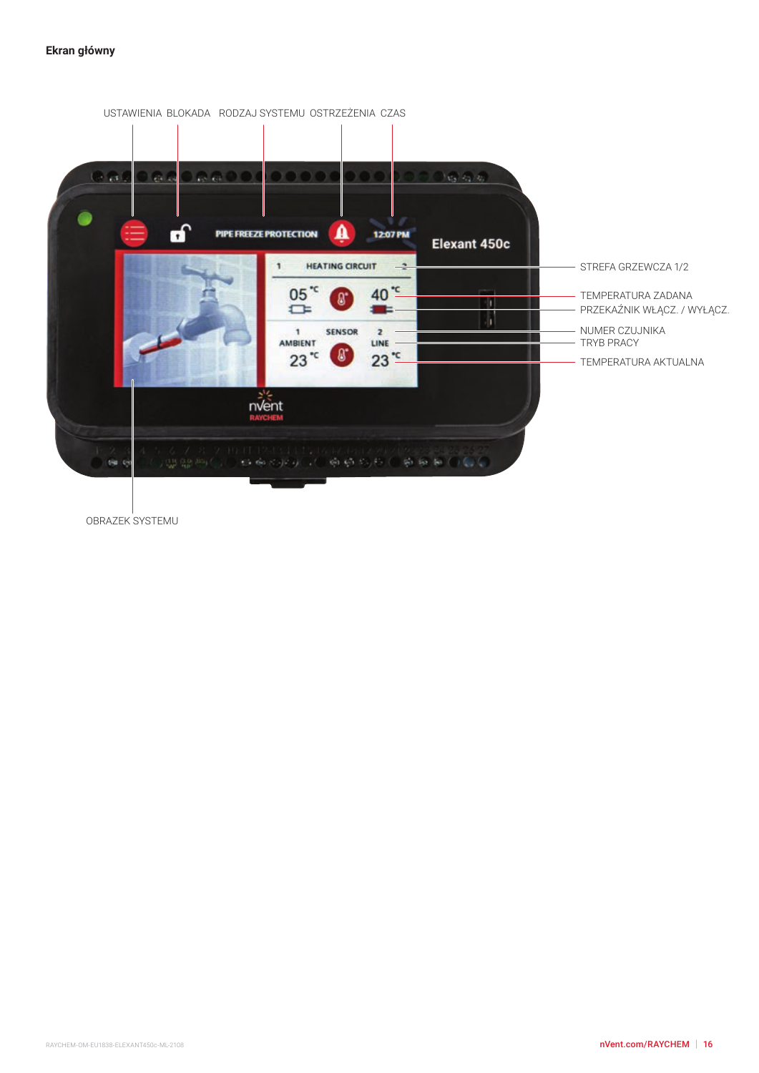#### **Ekran główny**



OBRAZEK SYSTEMU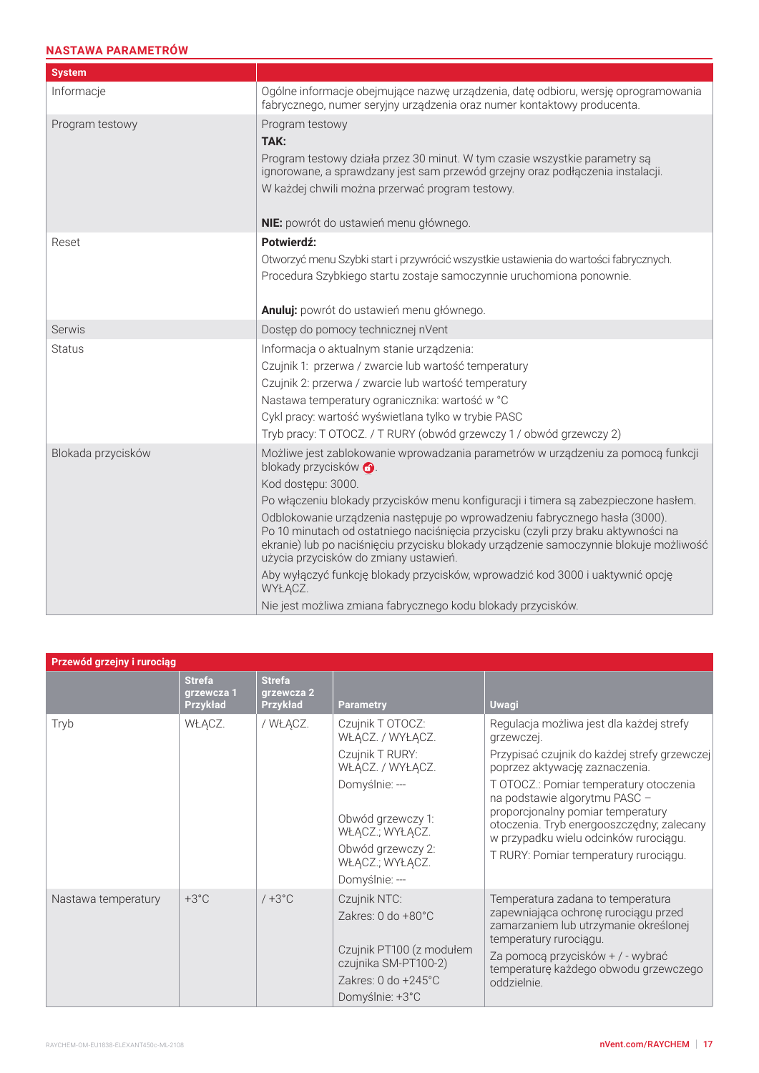### **NASTAWA PARAMETRÓW**

| <b>System</b>      |                                                                                                                                                                                                                                                                                                                                                                                                                                                                                                                                                                                                                                                                                                     |
|--------------------|-----------------------------------------------------------------------------------------------------------------------------------------------------------------------------------------------------------------------------------------------------------------------------------------------------------------------------------------------------------------------------------------------------------------------------------------------------------------------------------------------------------------------------------------------------------------------------------------------------------------------------------------------------------------------------------------------------|
| Informacje         | Ogólne informacje obejmujące nazwę urządzenia, datę odbioru, wersję oprogramowania<br>fabrycznego, numer seryjny urządzenia oraz numer kontaktowy producenta.                                                                                                                                                                                                                                                                                                                                                                                                                                                                                                                                       |
| Program testowy    | Program testowy<br>TAK:<br>Program testowy działa przez 30 minut. W tym czasie wszystkie parametry są<br>ignorowane, a sprawdzany jest sam przewód grzejny oraz podłączenia instalacji.<br>W każdej chwili można przerwać program testowy.<br>NIE: powrót do ustawień menu głównego.                                                                                                                                                                                                                                                                                                                                                                                                                |
| Reset              | Potwierdź:<br>Otworzyć menu Szybki start i przywrócić wszystkie ustawienia do wartości fabrycznych.<br>Procedura Szybkiego startu zostaje samoczynnie uruchomiona ponownie.<br>Anuluj: powrót do ustawień menu głównego.                                                                                                                                                                                                                                                                                                                                                                                                                                                                            |
| Serwis             | Dostęp do pomocy technicznej nVent                                                                                                                                                                                                                                                                                                                                                                                                                                                                                                                                                                                                                                                                  |
| <b>Status</b>      | Informacja o aktualnym stanie urządzenia:<br>Czujnik 1: przerwa / zwarcie lub wartość temperatury<br>Czujnik 2: przerwa / zwarcie lub wartość temperatury<br>Nastawa temperatury ogranicznika: wartość w °C<br>Cykl pracy: wartość wyświetlana tylko w trybie PASC<br>Tryb pracy: T OTOCZ. / T RURY (obwód grzewczy 1 / obwód grzewczy 2)                                                                                                                                                                                                                                                                                                                                                           |
| Blokada przycisków | Możliwe jest zablokowanie wprowadzania parametrów w urządzeniu za pomocą funkcji<br>blokady przycisków <b>O</b> .<br>Kod dostępu: 3000.<br>Po włączeniu blokady przycisków menu konfiguracji i timera są zabezpieczone hasłem.<br>Odblokowanie urządzenia następuje po wprowadzeniu fabrycznego hasła (3000).<br>Po 10 minutach od ostatniego naciśnięcia przycisku (czyli przy braku aktywności na<br>ekranie) lub po naciśnięciu przycisku blokady urządzenie samoczynnie blokuje możliwość<br>użycia przycisków do zmiany ustawień.<br>Aby wyłączyć funkcję blokady przycisków, wprowadzić kod 3000 i uaktywnić opcję<br>WYŁĄCZ.<br>Nie jest możliwa zmiana fabrycznego kodu blokady przycisków. |

| Przewód grzejny i rurociąg |                                                |                                                |                                                                                                                                                                               |                                                                                                                                                                                                                                                                                                                                                                                         |
|----------------------------|------------------------------------------------|------------------------------------------------|-------------------------------------------------------------------------------------------------------------------------------------------------------------------------------|-----------------------------------------------------------------------------------------------------------------------------------------------------------------------------------------------------------------------------------------------------------------------------------------------------------------------------------------------------------------------------------------|
|                            | <b>Strefa</b><br>grzewcza 1<br><b>Przykład</b> | <b>Strefa</b><br>grzewcza 2<br><b>Przykład</b> | <b>Parametry</b>                                                                                                                                                              | <b>Uwagi</b>                                                                                                                                                                                                                                                                                                                                                                            |
| Tryb                       | WŁĄCZ.                                         | / WŁĄCZ.                                       | Czujnik T OTOCZ:<br>WŁĄCZ. / WYŁĄCZ.<br>Czujnik T RURY:<br>WŁĄCZ. / WYŁĄCZ.<br>Domyślnie: ---<br>Obwód grzewczy 1:<br>WŁĄCZ.; WYŁĄCZ.<br>Obwód grzewczy 2:<br>WŁĄCZ.; WYŁĄCZ. | Regulacja możliwa jest dla każdej strefy<br>grzewczej.<br>Przypisać czujnik do każdej strefy grzewczej<br>poprzez aktywację zaznaczenia.<br>T OTOCZ.: Pomiar temperatury otoczenia<br>na podstawie algorytmu PASC -<br>proporcjonalny pomiar temperatury<br>otoczenia. Tryb energooszczędny; zalecany<br>w przypadku wielu odcinków rurociągu.<br>T RURY: Pomiar temperatury rurociagu. |
|                            |                                                |                                                | Domyślnie: ---                                                                                                                                                                |                                                                                                                                                                                                                                                                                                                                                                                         |
| Nastawa temperatury        | $+3^{\circ}$ C                                 | $/ +3$ °C                                      | Czujnik NTC:<br>Zakres: 0 do +80°C<br>Czujnik PT100 (z modułem<br>czujnika SM-PT100-2)<br>Zakres: $0$ do $+245^{\circ}$ C<br>Domyślnie: +3°C                                  | Temperatura zadana to temperatura<br>zapewniająca ochronę rurociągu przed<br>zamarzaniem lub utrzymanie określonej<br>temperatury rurociagu.<br>Za pomocą przycisków + / - wybrać<br>temperaturę każdego obwodu grzewczego<br>oddzielnie.                                                                                                                                               |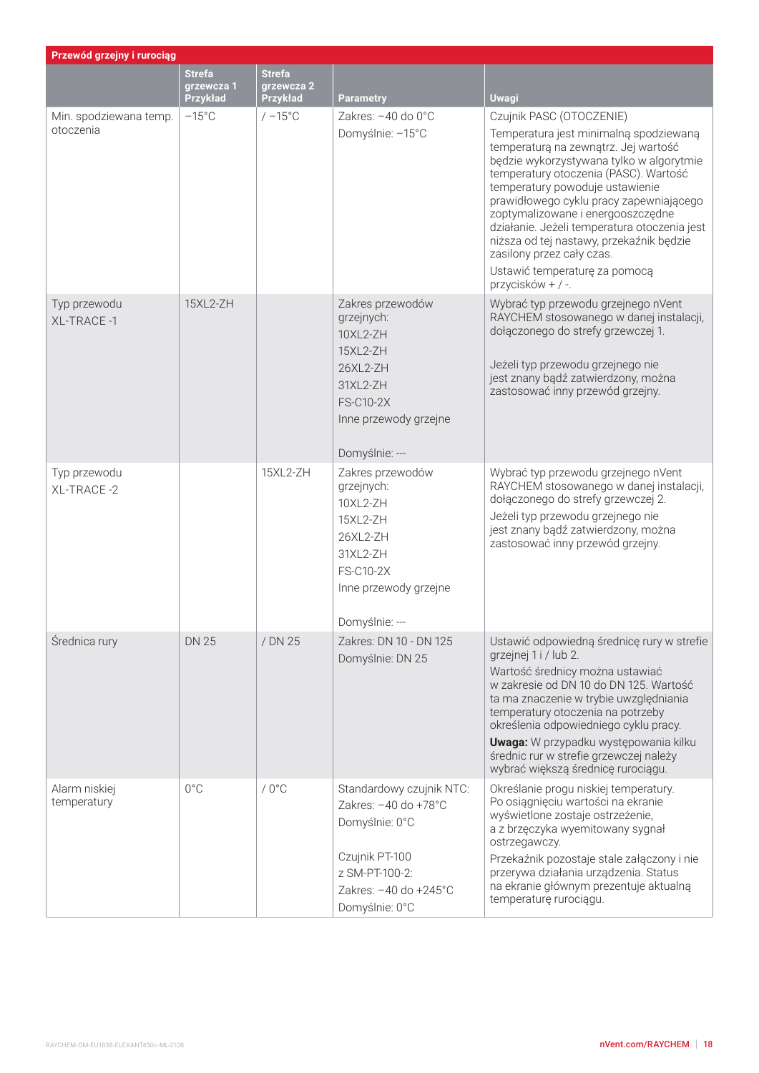| Przewód grzejny i rurociąg          |                                                |                                         |                                                                                                                                               |                                                                                                                                                                                                                                                                                                                                                                                                   |  |
|-------------------------------------|------------------------------------------------|-----------------------------------------|-----------------------------------------------------------------------------------------------------------------------------------------------|---------------------------------------------------------------------------------------------------------------------------------------------------------------------------------------------------------------------------------------------------------------------------------------------------------------------------------------------------------------------------------------------------|--|
|                                     | <b>Strefa</b><br>grzewcza 1<br><b>Przykład</b> | <b>Strefa</b><br>grzewcza 2<br>Przykład | <b>Parametry</b>                                                                                                                              | <b>Uwagi</b>                                                                                                                                                                                                                                                                                                                                                                                      |  |
| Min. spodziewana temp.<br>otoczenia | $-15^{\circ}$ C                                | $/ -15$ °C                              | Zakres: -40 do 0°C<br>Domyślnie: -15°C                                                                                                        | Czujnik PASC (OTOCZENIE)<br>Temperatura jest minimalną spodziewaną<br>temperatura na zewnątrz. Jej wartość<br>będzie wykorzystywana tylko w algorytmie                                                                                                                                                                                                                                            |  |
|                                     |                                                |                                         |                                                                                                                                               | temperatury otoczenia (PASC). Wartość<br>temperatury powoduje ustawienie<br>prawidłowego cyklu pracy zapewniającego<br>zoptymalizowane i energooszczędne<br>działanie. Jeżeli temperatura otoczenia jest<br>niższa od tej nastawy, przekaźnik będzie<br>zasilony przez cały czas.                                                                                                                 |  |
|                                     |                                                |                                         |                                                                                                                                               | Ustawić temperaturę za pomocą<br>przycisków + / -.                                                                                                                                                                                                                                                                                                                                                |  |
| Typ przewodu<br><b>XL-TRACE-1</b>   | 15XL2-ZH                                       |                                         | Zakres przewodów<br>grzejnych:<br>10XI 2-7H<br>15XL2-ZH                                                                                       | Wybrać typ przewodu grzejnego nVent<br>RAYCHEM stosowanego w danej instalacji,<br>dołączonego do strefy grzewczej 1.                                                                                                                                                                                                                                                                              |  |
|                                     |                                                |                                         | 26XL2-ZH<br>31XL2-ZH<br><b>FS-C10-2X</b><br>Inne przewody grzejne                                                                             | Jeżeli typ przewodu grzejnego nie<br>jest znany bądź zatwierdzony, można<br>zastosować inny przewód grzejny.                                                                                                                                                                                                                                                                                      |  |
|                                     |                                                |                                         | Domyślnie: ---                                                                                                                                |                                                                                                                                                                                                                                                                                                                                                                                                   |  |
| Typ przewodu<br>XL-TRACE-2          |                                                | 15XL2-ZH                                | Zakres przewodów<br>grzejnych:<br>10XL2-ZH<br>15XL2-ZH<br>26XL2-ZH<br>31XL2-ZH<br><b>FS-C10-2X</b><br>Inne przewody grzejne<br>Domyślnie: --- | Wybrać typ przewodu grzejnego nVent<br>RAYCHEM stosowanego w danej instalacji,<br>dołączonego do strefy grzewczej 2.<br>Jeżeli typ przewodu grzejnego nie<br>jest znany bądź zatwierdzony, można<br>zastosować inny przewód grzejny.                                                                                                                                                              |  |
| Średnica rury                       | <b>DN 25</b>                                   | / DN 25                                 | Zakres: DN 10 - DN 125<br>Domyślnie: DN 25                                                                                                    | Ustawić odpowiedną średnicę rury w strefie<br>grzejnej 1 i / lub 2.<br>Wartość średnicy można ustawiać<br>w zakresie od DN 10 do DN 125. Wartość<br>ta ma znaczenie w trybie uwzględniania<br>temperatury otoczenia na potrzeby<br>określenia odpowiedniego cyklu pracy.<br>Uwaga: W przypadku występowania kilku<br>średnic rur w strefie grzewczej należy<br>wybrać większą średnicę rurociągu. |  |
| Alarm niskiej<br>temperatury        | $0^{\circ}$ C                                  | $/0^{\circ}$ C                          | Standardowy czujnik NTC:<br>Zakres: -40 do +78°C<br>Domyślnie: 0°C                                                                            | Określanie progu niskiej temperatury.<br>Po osiągnięciu wartości na ekranie<br>wyświetlone zostaje ostrzeżenie,<br>a z brzęczyka wyemitowany sygnał<br>ostrzegawczy.                                                                                                                                                                                                                              |  |
|                                     |                                                |                                         | Czujnik PT-100<br>z SM-PT-100-2:<br>Zakres: -40 do +245°C<br>Domyślnie: 0°C                                                                   | Przekaźnik pozostaje stale załączony i nie<br>przerywa działania urządzenia. Status<br>na ekranie głównym prezentuje aktualną<br>temperaturę rurociągu.                                                                                                                                                                                                                                           |  |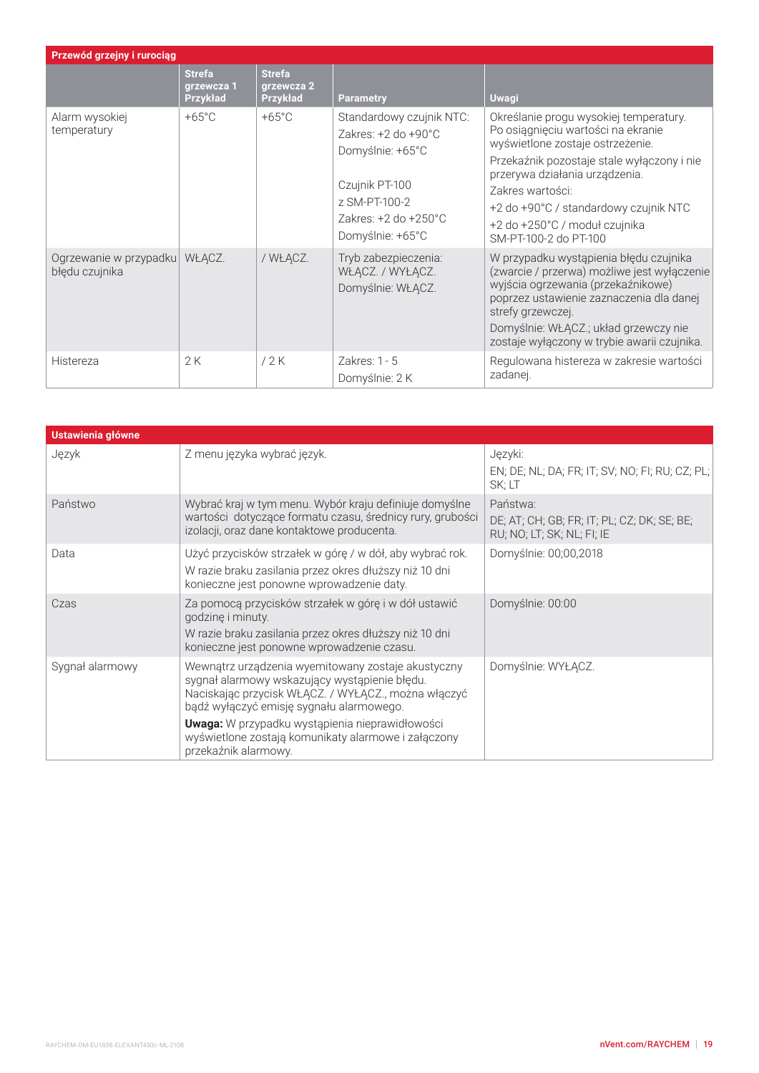| Przewód grzejny i rurociąg               |                                                |                                                |                                                                                                                                                                            |                                                                                                                                                                                                                                                                                                                         |  |  |  |
|------------------------------------------|------------------------------------------------|------------------------------------------------|----------------------------------------------------------------------------------------------------------------------------------------------------------------------------|-------------------------------------------------------------------------------------------------------------------------------------------------------------------------------------------------------------------------------------------------------------------------------------------------------------------------|--|--|--|
|                                          | <b>Strefa</b><br>grzewcza 1<br><b>Przykład</b> | <b>Strefa</b><br>grzewcza 2<br><b>Przykład</b> | <b>Parametry</b>                                                                                                                                                           | <b>Uwagi</b>                                                                                                                                                                                                                                                                                                            |  |  |  |
| Alarm wysokiej<br>temperatury            | $+65^{\circ}$ C                                | $+65^{\circ}$ C                                | Standardowy czujnik NTC:<br>Zakres: $+2$ do $+90^{\circ}$ C<br>Domyślnie: +65°C<br>Czujnik PT-100<br>z SM-PT-100-2<br>Zakres: $+2$ do $+250^{\circ}$ C<br>Domyślnie: +65°C | Określanie progu wysokiej temperatury.<br>Po osiągnięciu wartości na ekranie<br>wyświetlone zostaje ostrzeżenie.<br>Przekaźnik pozostaje stale wyłączony i nie<br>przerywa działania urządzenia.<br>Zakres wartości:<br>+2 do +90°C / standardowy czujnik NTC<br>+2 do +250°C / moduł czujnika<br>SM-PT-100-2 do PT-100 |  |  |  |
| Ogrzewanie w przypadku<br>błędu czujnika | WŁĄCZ.                                         | / WŁĄCZ.                                       | Tryb zabezpieczenia:<br>WŁĄCZ. / WYŁĄCZ.<br>Domyślnie: WŁĄCZ.                                                                                                              | W przypadku wystąpienia błędu czujnika<br>(zwarcie / przerwa) możliwe jest wyłączenie<br>wyjścia ogrzewania (przekaźnikowe)<br>poprzez ustawienie zaznaczenia dla danej<br>strefy grzewczej.<br>Domyślnie: WŁĄCZ.; układ grzewczy nie<br>zostaje wyłączony w trybie awarii czujnika.                                    |  |  |  |
| Histereza                                | 2K                                             | 12K                                            | Zakres: $1 - 5$<br>Domyślnie: 2 K                                                                                                                                          | Regulowana histereza w zakresie wartości<br>zadanej.                                                                                                                                                                                                                                                                    |  |  |  |

| Ustawienia główne |                                                                                                                                                                                                        |                                                                                       |  |  |  |
|-------------------|--------------------------------------------------------------------------------------------------------------------------------------------------------------------------------------------------------|---------------------------------------------------------------------------------------|--|--|--|
| Język             | Z menu języka wybrać język.                                                                                                                                                                            | Języki:<br>EN; DE; NL; DA; FR; IT; SV; NO; FI; RU; CZ; PL;<br>SK; LT                  |  |  |  |
| Państwo           | Wybrać kraj w tym menu. Wybór kraju definiuje domyślne<br>wartości dotyczące formatu czasu, średnicy rury, grubości<br>izolacji, oraz dane kontaktowe producenta.                                      | Państwa:<br>DE; AT; CH; GB; FR; IT; PL; CZ; DK; SE; BE;<br>RU; NO; LT; SK; NL; FI; IE |  |  |  |
| Data              | Użyć przycisków strzałek w górę / w dół, aby wybrać rok.<br>W razie braku zasilania przez okres dłuższy niż 10 dni<br>konieczne jest ponowne wprowadzenie daty.                                        | Domyślnie: 00;00,2018                                                                 |  |  |  |
| Czas              | Za pomocą przycisków strzałek w górę i w dół ustawić<br>godzinę i minuty.<br>W razie braku zasilania przez okres dłuższy niż 10 dni<br>konieczne jest ponowne wprowadzenie czasu.                      | Domyślnie: 00:00                                                                      |  |  |  |
| Sygnał alarmowy   | Wewnątrz urządzenia wyemitowany zostaje akustyczny<br>sygnał alarmowy wskazujący wystąpienie błędu.<br>Naciskając przycisk WŁĄCZ. / WYŁĄCZ., można włączyć<br>bądź wyłączyć emisję sygnału alarmowego. | Domyślnie: WYŁĄCZ.                                                                    |  |  |  |
|                   | <b>Uwaga:</b> W przypadku wystąpienia nieprawidłowości<br>wyświetlone zostają komunikaty alarmowe i załączony<br>przekaźnik alarmowy.                                                                  |                                                                                       |  |  |  |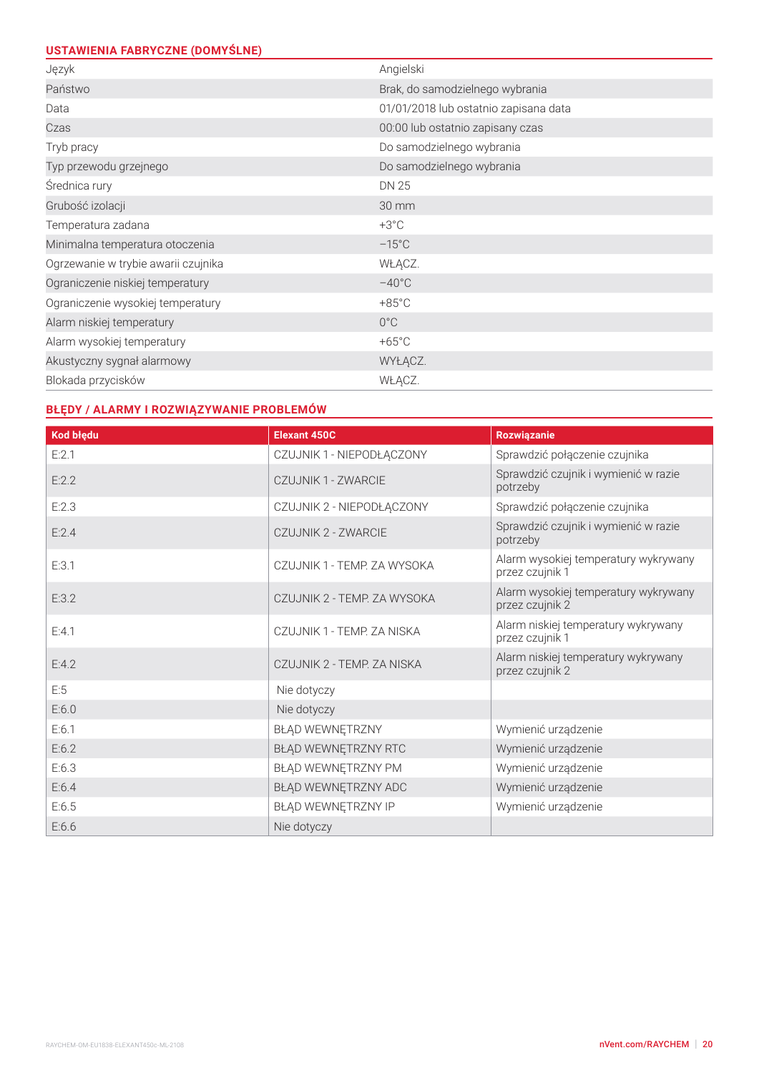# **USTAWIENIA FABRYCZNE (DOMYŚLNE)**

| 00 188816818 18981 0486 19981 19686 |                                       |  |  |  |
|-------------------------------------|---------------------------------------|--|--|--|
| Język                               | Angielski                             |  |  |  |
| Państwo                             | Brak, do samodzielnego wybrania       |  |  |  |
| Data                                | 01/01/2018 lub ostatnio zapisana data |  |  |  |
| Czas                                | 00:00 lub ostatnio zapisany czas      |  |  |  |
| Tryb pracy                          | Do samodzielnego wybrania             |  |  |  |
| Typ przewodu grzejnego              | Do samodzielnego wybrania             |  |  |  |
| Średnica rury                       | <b>DN 25</b>                          |  |  |  |
| Grubość izolacji                    | 30 mm                                 |  |  |  |
| Temperatura zadana                  | $+3^{\circ}$ C                        |  |  |  |
| Minimalna temperatura otoczenia     | $-15^{\circ}$ C                       |  |  |  |
| Ogrzewanie w trybie awarii czujnika | WŁĄCZ.                                |  |  |  |
| Ograniczenie niskiej temperatury    | $-40^{\circ}$ C                       |  |  |  |
| Ograniczenie wysokiej temperatury   | $+85^{\circ}$ C                       |  |  |  |
| Alarm niskiej temperatury           | $0^{\circ}$ C                         |  |  |  |
| Alarm wysokiej temperatury          | $+65^{\circ}$ C                       |  |  |  |
| Akustyczny sygnał alarmowy          | WYŁĄCZ.                               |  |  |  |
| Blokada przycisków                  | WŁĄCZ.                                |  |  |  |

# **BŁĘDY / ALARMY I ROZWIĄZYWANIE PROBLEMÓW**

| Kod błędu | <b>Elexant 450C</b>         | <b>Rozwiązanie</b>                                      |
|-----------|-----------------------------|---------------------------------------------------------|
| E:2.1     | CZUJNIK 1 - NIEPODŁĄCZONY   | Sprawdzić połączenie czujnika                           |
| E:2.2     | CZUJNIK 1 - ZWARCIE         | Sprawdzić czujnik i wymienić w razie<br>potrzeby        |
| E:2.3     | CZUJNIK 2 - NIEPODŁĄCZONY   | Sprawdzić połączenie czujnika                           |
| E:2.4     | CZUJNIK 2 - ZWARCIE         | Sprawdzić czujnik i wymienić w razie<br>potrzeby        |
| E:3.1     | CZUJNIK 1 - TEMP, ZA WYSOKA | Alarm wysokiej temperatury wykrywany<br>przez czujnik 1 |
| E:3.2     | CZUJNIK 2 - TEMP. ZA WYSOKA | Alarm wysokiej temperatury wykrywany<br>przez czujnik 2 |
| E:4.1     | CZUJNIK 1 - TEMP, ZA NISKA  | Alarm niskiej temperatury wykrywany<br>przez czujnik 1  |
| E:4.2     | CZUJNIK 2 - TEMP. ZA NISKA  | Alarm niskiej temperatury wykrywany<br>przez czujnik 2  |
| E:5       | Nie dotyczy                 |                                                         |
| E:6.0     | Nie dotyczy                 |                                                         |
| E:6.1     | BŁĄD WEWNĘTRZNY             | Wymienić urządzenie                                     |
| E:6.2     | BŁĄD WEWNĘTRZNY RTC         | Wymienić urządzenie                                     |
| E:6.3     | BŁĄD WEWNĘTRZNY PM          | Wymienić urządzenie                                     |
| E:6.4     | BŁĄD WEWNĘTRZNY ADC         | Wymienić urządzenie                                     |
| E:6.5     | BŁĄD WEWNĘTRZNY IP          | Wymienić urządzenie                                     |
| E:6.6     | Nie dotyczy                 |                                                         |